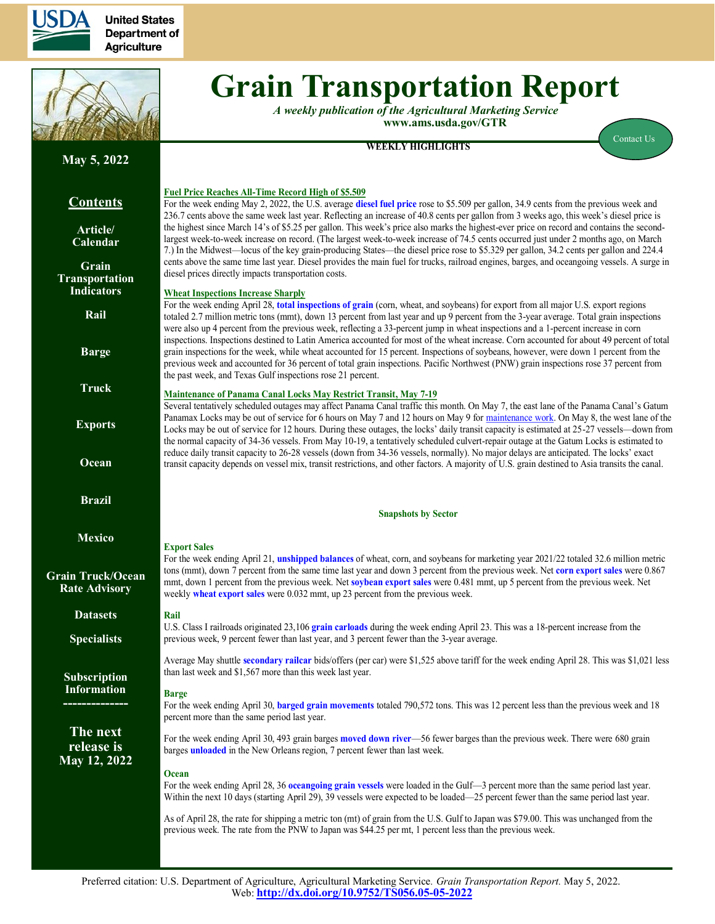

**United States Department of Agriculture** 



# **Grain Transportation Report**

*A weekly publication of the Agricultural Marketing Service*  **www.ams.usda.gov/GTR**

**WEEKLY HIGHLIGHTS** [Contact Us](mailto:Surajudeen.Olowolayemo@ams.usda.gov)

# **May 5, 2022**

# **Contents**

**[Article/](#page-1-0) [Calendar](#page-1-0)**

**[Grain](#page-3-0) [Transportation](#page-3-0) [Indicators](#page-3-0)**

**[Rail](#page-4-0)**

**[Barge](#page-10-0)**

**[Truck](#page-13-0)**

**[Exports](#page-14-0)**

**[Ocean](#page-18-0)**

**[Brazil](https://www.ams.usda.gov/services/transportation-analysis/brazil)**

**[Mexico](https://www.ams.usda.gov/services/transportation-analysis/mexico)**

### **[Grain Truck/Ocean](https://www.ams.usda.gov/services/transportation-analysis/gtor) [Rate Advisory](https://www.ams.usda.gov/services/transportation-analysis/gtor)**

**[Dataset](https://www.ams.usda.gov/services/transportation-analysis/gtr-datasets)s**

**[Specialists](#page-21-0)**

**[Subscription](#page-21-0)  [Information](#page-21-0) --------------**

**The next release is May 12, 2022**

### **Fuel Price Reaches All-Time Record High of \$5.509**

For the week ending May 2, 2022, the U.S. average **[diesel fuel price](#page-13-1)** rose to \$5.509 per gallon, 34.9 cents from the previous week and 236.7 cents above the same week last year. Reflecting an increase of 40.8 cents per gallon from 3 weeks ago, this week's diesel price is the highest since March 14's of \$5.25 per gallon. This week's price also marks the highest-ever price on record and contains the secondlargest week-to-week increase on record. (The largest week-to-week increase of 74.5 cents occurred just under 2 months ago, on March 7.) In the Midwest—locus of the key grain-producing States—the diesel price rose to \$5.329 per gallon, 34.2 cents per gallon and 224.4 cents above the same time last year. Diesel provides the main fuel for trucks, railroad engines, barges, and oceangoing vessels. A surge in diesel prices directly impacts transportation costs.

### **Wheat Inspections Increase Sharply**

For the week ending April 28, **[total inspections of grain](#page-16-0)** (corn, wheat, and soybeans) for export from all major U.S. export regions totaled 2.7 million metric tons (mmt), down 13 percent from last year and up 9 percent from the 3-year average. Total grain inspections were also up 4 percent from the previous week, reflecting a 33-percent jump in wheat inspections and a 1-percent increase in corn inspections. Inspections destined to Latin America accounted for most of the wheat increase. Corn accounted for about 49 percent of total grain inspections for the week, while wheat accounted for 15 percent. Inspections of soybeans, however, were down 1 percent from the previous week and accounted for 36 percent of total grain inspections. Pacific Northwest (PNW) grain inspections rose 37 percent from the past week, and Texas Gulf inspections rose 21 percent.

### **Maintenance of Panama Canal Locks May Restrict Transit, May 7-19**

Several tentatively scheduled outages may affect Panama Canal traffic this month. On May 7, the east lane of the Panama Canal's Gatum Panamax Locks may be out of service for 6 hours on May 7 and 12 hours on May 9 for [maintenance work. O](https://pancanal.com/wp-content/uploads/2022/03/ADV14-2022-Monthly-Canal-Operations-Summary-MARCH-2022.pdf)n May 8, the west lane of the Locks may be out of service for 12 hours. During these outages, the locks' daily transit capacity is estimated at 25-27 vessels—down from the normal capacity of 34-36 vessels. From May 10-19, a tentatively scheduled culvert-repair outage at the Gatum Locks is estimated to reduce daily transit capacity to 26-28 vessels (down from 34-36 vessels, normally). No major delays are anticipated. The locks' exact transit capacity depends on vessel mix, transit restrictions, and other factors. A majority of U.S. grain destined to Asia transits the canal.

#### **Snapshots by Sector**

**Export Sales** For the week ending April 21, **[unshipped balances](#page-14-1)** of wheat, corn, and soybeans for marketing year 2021/22 totaled 32.6 million metric tons (mmt), down 7 percent from the same time last year and down 3 percent from the previous week. Net **[corn expor](#page-14-1)t sales** were 0.867 mmt, down 1 percen<sup>t</sup> from the previous week. Net **[soybean export sales](#page-15-0)** were 0.481 mmt, up 5 percen<sup>t</sup> from the previous week. Net weekly **[wheat export sales](#page-15-0)** were 0.032 mmt, up 23 percent from the previous week.

### **Rail**

U.S. Class I railroads originated 23,106 **gra[in carloads](#page-5-0)** during the week ending April 23. This was a 18-percent increase from the previous week, 9 percent fewer than last year, and 3 percent fewer than the 3-year average.

Average May shuttle **[secondary railcar](#page-7-0)** bids/offers (per car) were \$1,525 above tariff for the week ending April 28. This was \$1,021 less than last week and \$1,567 more than this week last year.

### **Barge**

For the week ending April 30, **[barged grain movements](#page-11-0)** totaled 790,572 tons. This was 12 percent less than the previous week and 18 percent more than the same period last year.

For the week ending April 30, 493 grain barges **[moved down river](#page-12-0)**—56 fewer barges than the previous week. There were 680 grain barges **[unloaded](#page-12-0)** in the New Orleans region, 7 percent fewer than last week.

### **Ocean**

For the week ending April 28, 36 **oceango[ing grain vessels](#page-18-1)** were loaded in the Gulf—3 percent more than the same period last year. Within the next 10 days (starting April 29), 39 vessels were expected to be loaded—25 percent fewer than the same period last year.

As of April 28, the rate for shipping a metric ton (mt) of grain from the U.S. Gulf to Japan was \$79.00. This was unchanged from the previous week. The rate from the PNW to Japan was \$44.25 per mt, 1 percent less than the previous week.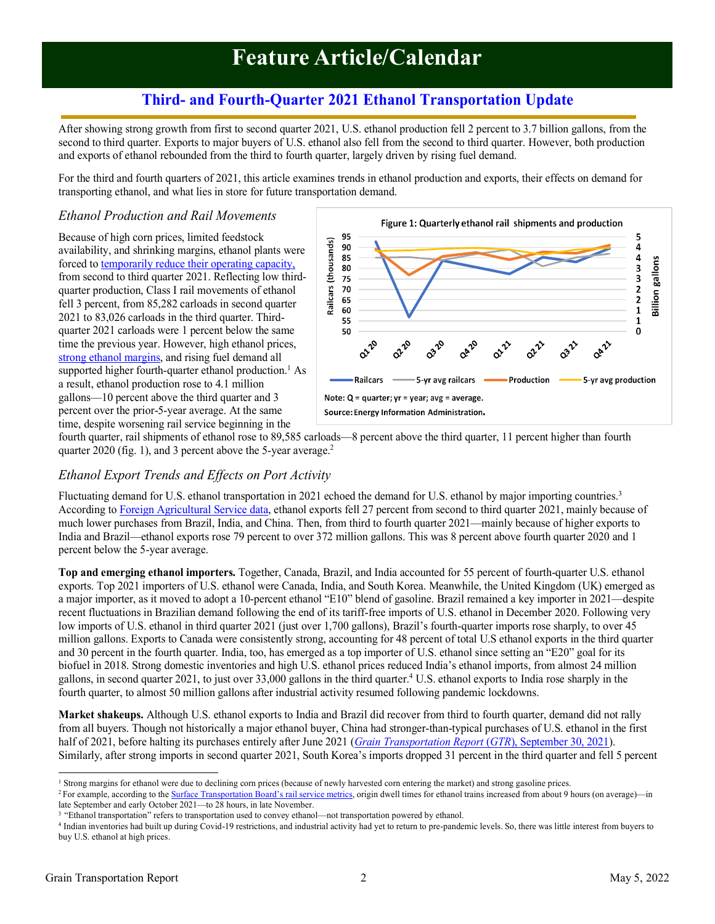# **Feature Article/Calendar**

# **Third- and Fourth-Quarter 2021 Ethanol Transportation Update**

<span id="page-1-0"></span>After showing strong growth from first to second quarter 2021, U.S. ethanol production fell 2 percent to 3.7 billion gallons, from the second to third quarter. Exports to major buyers of U.S. ethanol also fell from the second to third quarter. However, both production and exports of ethanol rebounded from the third to fourth quarter, largely driven by rising fuel demand.

For the third and fourth quarters of 2021, this article examines trends in ethanol production and exports, their effects on demand for transporting ethanol, and what lies in store for future transportation demand.

### *Ethanol Production and Rail Movements*

Because of high corn prices, limited feedstock availability, and shrinking margins, ethanol plants were forced to [temporarily reduce their operating capacity,](https://www.ers.usda.gov/webdocs/outlooks/102125/fds-21i.pdf?v=1675.3) from second to third quarter 2021. Reflecting low thirdquarter production, Class I rail movements of ethanol fell 3 percent, from 85,282 carloads in second quarter 2021 to 83,026 carloads in the third quarter. Thirdquarter 2021 carloads were 1 percent below the same time the previous year. However, high ethanol prices, [strong ethanol margins,](https://downloads.usda.library.cornell.edu/usda-esmis/files/44558d29f/qn59r466h/pr76g4328/FDS-21k.pdf) and rising fuel demand all supported higher fourth-quarter ethanol production.<sup>1</sup> As a result, ethanol production rose to 4.1 million gallons—10 percent above the third quarter and 3 percent over the prior-5-year average. At the same time, despite worsening rail service beginning in the



fourth quarter, rail shipments of ethanol rose to 89,585 carloads—8 percent above the third quarter, 11 percent higher than fourth quarter 2020 (fig. 1), and 3 percent above the 5-year average.<sup>2</sup>

# *Ethanol Export Trends and Effects on Port Activity*

Fluctuating demand for U.S. ethanol transportation in 2021 echoed the demand for U.S. ethanol by major importing countries.<sup>3</sup> According to [Foreign Agricultural](https://apps.fas.usda.gov/gats/default.aspx) Service data, ethanol exports fell 27 percent from second to third quarter 2021, mainly because of much lower purchases from Brazil, India, and China. Then, from third to fourth quarter 2021—mainly because of higher exports to India and Brazil—ethanol exports rose 79 percent to over 372 million gallons. This was 8 percent above fourth quarter 2020 and 1 percent below the 5-year average.

**Top and emerging ethanol importers.** Together, Canada, Brazil, and India accounted for 55 percent of fourth-quarter U.S. ethanol exports. Top 2021 importers of U.S. ethanol were Canada, India, and South Korea. Meanwhile, the United Kingdom (UK) emerged as a major importer, as it moved to adopt a 10-percent ethanol "E10" blend of gasoline. Brazil remained a key importer in 2021—despite recent fluctuations in Brazilian demand following the end of its tariff-free imports of U.S. ethanol in December 2020. Following very low imports of U.S. ethanol in third quarter 2021 (just over 1,700 gallons), Brazil's fourth-quarter imports rose sharply, to over 45 million gallons. Exports to Canada were consistently strong, accounting for 48 percent of total U.S ethanol exports in the third quarter and 30 percent in the fourth quarter. India, too, has emerged as a top importer of U.S. ethanol since setting an "E20" goal for its biofuel in 2018. Strong domestic inventories and high U.S. ethanol prices reduced India's ethanol imports, from almost 24 million gallons, in second quarter 2021, to just over 33,000 gallons in the third quarter. <sup>4</sup> U.S. ethanol exports to India rose sharply in the fourth quarter, to almost 50 million gallons after industrial activity resumed following pandemic lockdowns.

**Market shakeups.** Although U.S. ethanol exports to India and Brazil did recover from third to fourth quarter, demand did not rally from all buyers. Though not historically a major ethanol buyer, China had stronger-than-typical purchases of U.S. ethanol in the first half of 2021, before halting its purchases entirely after June 2021 (*[Grain Transportation Report](https://www.ams.usda.gov/sites/default/files/media/GTR09302021.pdf#page=2)* (*GTR*), September 30, 2021). Similarly, after strong imports in second quarter 2021, South Korea's imports dropped 31 percent in the third quarter and fell 5 percent

<sup>2</sup> For example, according to the **[Surface Transportation Board's](https://agtransport.usda.gov/stories/s/Rail-Dashboard/appm-bhti) rail service metrics**, origin dwell times for ethanol trains increased from about 9 hours (on average)—in late September and early October 2021—to 28 hours, in late November.

<sup>&</sup>lt;sup>1</sup> Strong margins for ethanol were due to declining corn prices (because of newly harvested corn entering the market) and strong gasoline prices.

<sup>3</sup> "Ethanol transportation" refers to transportation used to convey ethanol—not transportation powered by ethanol.

<sup>4</sup> Indian inventories had built up during Covid-19 restrictions, and industrial activity had yet to return to pre-pandemic levels. So, there was little interest from buyers to buy U.S. ethanol at high prices.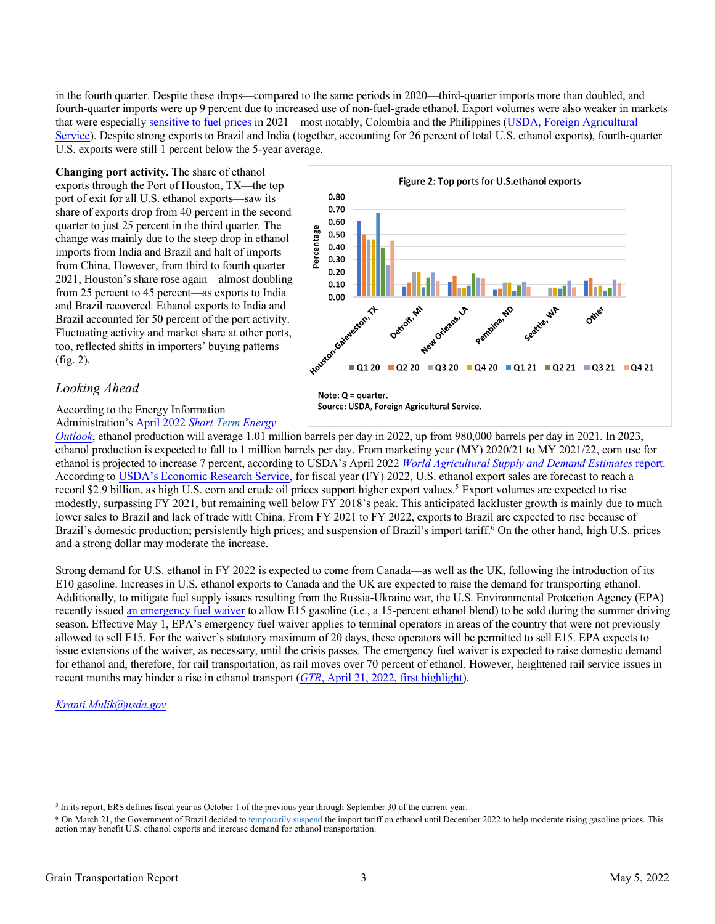in the fourth quarter. Despite these drops—compared to the same periods in 2020—third-quarter imports more than doubled, and fourth-quarter imports were up 9 percent due to increased use of non-fuel-grade ethanol. Export volumes were also weaker in markets that were especially [sensitive to fuel prices](https://www.fas.usda.gov/ethanol-2021-export-highlights) in 2021—most notably, Colombia and the Philippines ([USDA, Foreign Agricultural](https://www.fas.usda.gov/sites/default/files/2022-04/Yearbook-2021-Final.pdf)  [Service\)](https://www.fas.usda.gov/sites/default/files/2022-04/Yearbook-2021-Final.pdf). Despite strong exports to Brazil and India (together, accounting for 26 percent of total U.S. ethanol exports), fourth-quarter U.S. exports were still 1 percent below the 5-year average.

**Changing port activity.** The share of ethanol exports through the Port of Houston, TX—the top port of exit for all U.S. ethanol exports—saw its share of exports drop from 40 percent in the second quarter to just 25 percent in the third quarter. The change was mainly due to the steep drop in ethanol imports from India and Brazil and halt of imports from China. However, from third to fourth quarter 2021, Houston's share rose again—almost doubling from 25 percent to 45 percent—as exports to India and Brazil recovered. Ethanol exports to India and Brazil accounted for 50 percent of the port activity. Fluctuating activity and market share at other ports, too, reflected shifts in importers' buying patterns (fig. 2).

# *Looking Ahead*

According to the Energy Information Administration's [April 2022](https://www.eia.gov/outlooks/steo/pdf/steo_full.pdf) *Short Term Energy*



*[Outlook](https://www.eia.gov/outlooks/steo/pdf/steo_full.pdf)*, ethanol production will average 1.01 million barrels per day in 2022, up from 980,000 barrels per day in 2021. In 2023, ethanol production is expected to fall to 1 million barrels per day. From marketing year (MY) 2020/21 to MY 2021/22, corn use for ethanol is projected to increase 7 percent, according to USDA's April 2022 *[World Agricultural Supply and Demand Estimates](https://www.usda.gov/oce/commodity/wasde/wasde0422.pdf)* report. According to USDA's [Economic Research Service](https://www.ers.usda.gov/webdocs/outlooks/103379/aes-119.pdf?v=8576.3), for fiscal year (FY) 2022, U.S. ethanol export sales are forecast to reach a record \$2.9 billion, as high U.S. corn and crude oil prices support higher export values.<sup>5</sup> Export volumes are expected to rise modestly, surpassing FY 2021, but remaining well below FY 2018's peak. This anticipated lackluster growth is mainly due to much lower sales to Brazil and lack of trade with China. From FY 2021 to FY 2022, exports to Brazil are expected to rise because of Brazil's domestic production; persistently high prices; and suspension of Brazil's import tariff.<sup>6</sup> On the other hand, high U.S. prices and a strong dollar may moderate the increase.

Strong demand for U.S. ethanol in FY 2022 is expected to come from Canada—as well as the UK, following the introduction of its E10 gasoline. Increases in U.S. ethanol exports to Canada and the UK are expected to raise the demand for transporting ethanol. Additionally, to mitigate fuel supply issues resulting from the Russia-Ukraine war, the U.S. Environmental Protection Agency (EPA) recently issue[d an emergency fuel waiver](https://www.epa.gov/newsreleases/epa-issues-emergency-fuel-waiver-e15-sales) to allow E15 gasoline (i.e., a 15-percent ethanol blend) to be sold during the summer driving season. Effective May 1, EPA's emergency fuel waiver applies to terminal operators in areas of the country that were not previously allowed to sell E15. For the waiver's statutory maximum of 20 days, these operators will be permitted to sell E15. EPA expects to issue extensions of the waiver, as necessary, until the crisis passes. The emergency fuel waiver is expected to raise domestic demand for ethanol and, therefore, for rail transportation, as rail moves over 70 percent of ethanol. However, heightened rail service issues in recent months may hinder a rise in ethanol transport (*GTR*, April 21, 2022, [first highlight](https://www.ams.usda.gov/sites/default/files/media/GTR04212022.pdf)).

*[Kranti.Mulik@usda.gov](mailto:Kranti.Mulik@usda.gov)*

<sup>&</sup>lt;sup>5</sup> In its report, ERS defines fiscal year as October 1 of the previous year through September 30 of the current year.

<sup>&</sup>lt;sup>6</sup> On March 21, the Government of Brazil decided to [temporarily suspend](https://www.fas.usda.gov/data/brazil-brazil-eliminates-import-tariffs-ethanol-through-december-2022) the import tariff on ethanol until December 2022 to help moderate rising gasoline prices. This action may benefit U.S. ethanol exports and increase d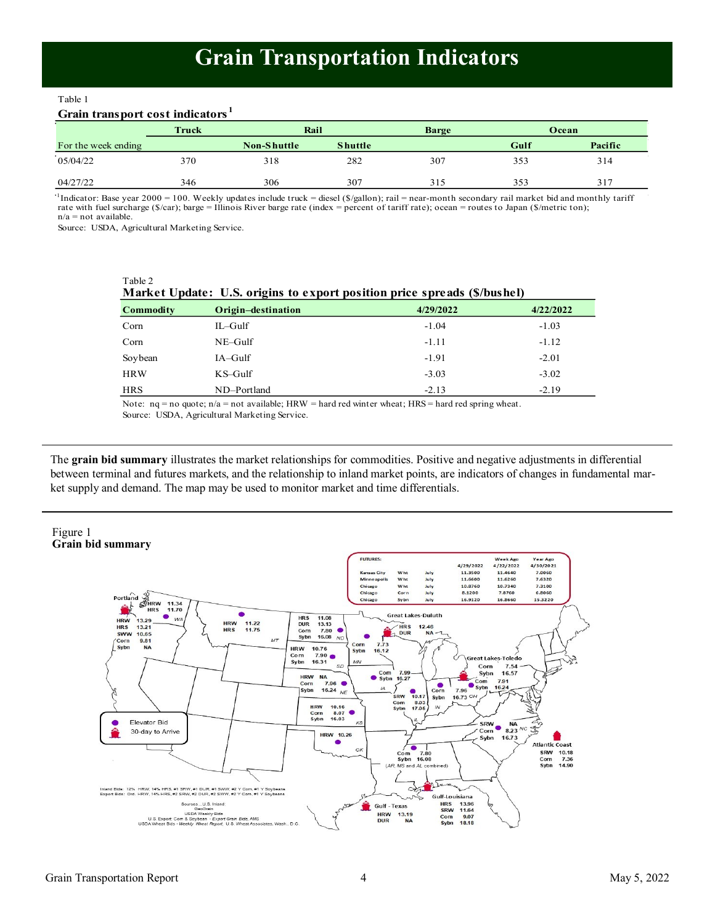# **Grain Transportation Indicators**

<span id="page-3-0"></span>Table 1 Table 1

# **Grain transport cost indicators <sup>1</sup> Grain transport cost indicators <sup>1</sup>**

|                     | Truck | Rail               |                | <b>Barge</b> |      | Ocean   |
|---------------------|-------|--------------------|----------------|--------------|------|---------|
| For the week ending |       | <b>Non-Shuttle</b> | <b>Shuttle</b> |              | Gulf | Pacific |
| 05/04/22            | 370   | 318                | 282            | 307          | 353  | 314     |
| 04/27/22            | 346   | 306                | 307            | 315          | 353  | 317     |

04/27/22<br>
<sup>1</sup>Indicator: Base year 2000 = 100. Weekly updates include truck = diesel (\$/gallon); rail = near-month secondary rail market bid and monthly tariff In the secondary of  $\mathcal{L}_{\mathcal{S}}$  and  $\mathcal{L}_{\mathcal{S}}$  and  $\mathcal{L}_{\mathcal{S}}$  and  $\mathcal{L}_{\mathcal{S}}$  and  $\mathcal{L}_{\mathcal{S}}$  and  $\mathcal{L}_{\mathcal{S}}$  and  $\mathcal{L}_{\mathcal{S}}$  and  $\mathcal{L}_{\mathcal{S}}$  and  $\mathcal{L}_{\mathcal{S}}$  and  $\mathcal{L}_{\mathcal{S}}$  and  $\mathcal{L}_{\mathcal{$ rate with fuel surcharge (\$/car); barge = Illinois River barge rate (index = percent of tariff rate); ocean = routes to Japan (\$/metric ton);<br>n/a = not available. n/a = not available.

Source: USDA, Agricultural Marketing Service.

Table 2

| Market Update: U.S. origins to export position price spreads (\$/bushel) |                    |           |           |  |  |  |  |  |
|--------------------------------------------------------------------------|--------------------|-----------|-----------|--|--|--|--|--|
| <b>Commodity</b>                                                         | Origin-destination | 4/29/2022 | 4/22/2022 |  |  |  |  |  |
| Corn                                                                     | $IL$ –Gulf         | $-1.04$   | $-1.03$   |  |  |  |  |  |
| Corn                                                                     | $NE-Gulf$          | $-1.11$   | $-1.12$   |  |  |  |  |  |
| Soybean                                                                  | $IA-Gulf$          | $-1.91$   | $-2.01$   |  |  |  |  |  |
| <b>HRW</b>                                                               | $KS$ -Gulf         | $-3.03$   | $-3.02$   |  |  |  |  |  |
| <b>HRS</b>                                                               | ND-Portland        | $-2.13$   | $-2.19$   |  |  |  |  |  |

Note:  $nq = no$  quote;  $n/a = not available$ ; HRW = hard red winter wheat; HRS = hard red spring wheat. Source: USDA, Agricultural Marketing Service.

The **grain bid summary** illustrates the market relationships for commodities. Positive and negative adjustments in differential between terminal and futures markets, and the relationship to inland market points, are indicators of changes in fundamental market supply and demand. The map may be used to monitor market and time differentials.

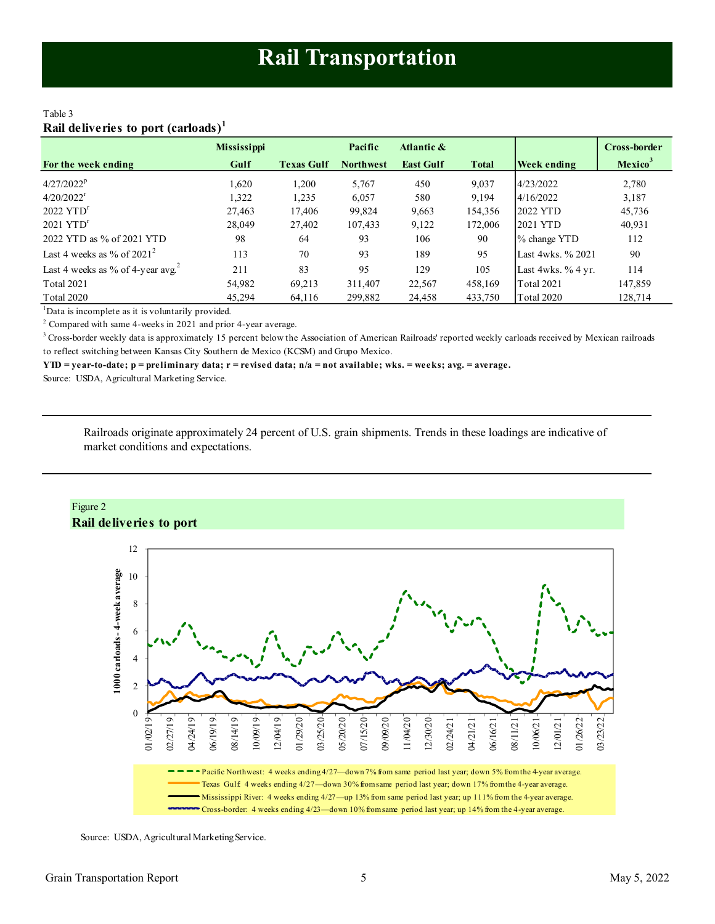### <span id="page-4-0"></span>Table 3 **Rail deliveries to port (carloads)<sup>1</sup>**

|                                               | <b>Mississippi</b> |                   | Pacific          | Atlantic &       |              |                     | Cross-border               |
|-----------------------------------------------|--------------------|-------------------|------------------|------------------|--------------|---------------------|----------------------------|
| For the week ending                           | Gulf               | <b>Texas Gulf</b> | <b>Northwest</b> | <b>East Gulf</b> | <b>Total</b> | Week ending         | <b>Mexico</b> <sup>3</sup> |
| $4/27/2022^p$                                 | 1,620              | 1,200             | 5,767            | 450              | 9,037        | 4/23/2022           | 2,780                      |
| $4/20/2022$ <sup>r</sup>                      | 1,322              | 1,235             | 6,057            | 580              | 9,194        | 4/16/2022           | 3,187                      |
| $2022$ $YTDr$                                 | 27.463             | 17,406            | 99,824           | 9,663            | 154,356      | 2022 YTD            | 45,736                     |
| $2021$ $YTDr$                                 | 28,049             | 27,402            | 107,433          | 9,122            | 172,006      | 2021 YTD            | 40,931                     |
| 2022 YTD as % of 2021 YTD                     | 98                 | 64                | 93               | 106              | 90           | % change YTD        | 112                        |
| Last 4 weeks as % of $2021^2$                 | 113                | 70                | 93               | 189              | 95           | Last 4wks, % 2021   | 90                         |
| Last 4 weeks as % of 4-year avg. <sup>2</sup> | 211                | 83                | 95               | 129              | 105          | Last 4wks. $%4$ yr. | 114                        |
| <b>Total 2021</b>                             | 54,982             | 69,213            | 311.407          | 22,567           | 458,169      | <b>Total 2021</b>   | 147,859                    |
| <b>Total 2020</b>                             | 45.294             | 64,116            | 299,882          | 24,458           | 433,750      | Total 2020          | 128.714                    |

<sup>1</sup>Data is incomplete as it is voluntarily provided.

 $2^2$  Compared with same 4-weeks in 2021 and prior 4-year average.

 $3$  Cross-border weekly data is approximately 15 percent below the Association of American Railroads' reported weekly carloads received by Mexican railroads to reflect switching between Kansas City Southern de Mexico (KCSM) and Grupo Mexico.

**YTD = year-to-date; p = preliminary data; r = revised data; n/a = not available; wks. = weeks; avg. = average.**

Source: USDA, Agricultural Marketing Service.

Railroads originate approximately 24 percent of U.S. grain shipments. Trends in these loadings are indicative of market conditions and expectations.



Source: USDA, Agricultural Marketing Service.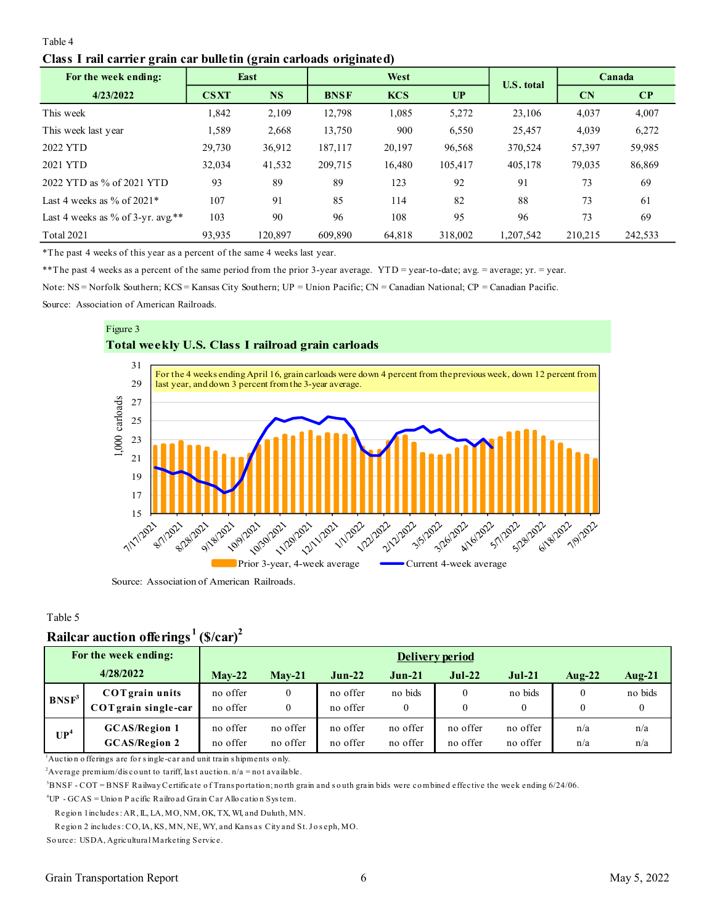### <span id="page-5-0"></span>Table 4 **Class I rail carrier grain car bulletin (grain carloads originated)**

| ---<br>For the week ending:       |             | East      |             | West       |         |                   | Canada    |              |
|-----------------------------------|-------------|-----------|-------------|------------|---------|-------------------|-----------|--------------|
| 4/23/2022                         | <b>CSXT</b> | <b>NS</b> | <b>BNSF</b> | <b>KCS</b> | UP      | <b>U.S. total</b> | <b>CN</b> | $\mathbf{C}$ |
| This week                         | 1,842       | 2,109     | 12.798      | 1,085      | 5,272   | 23,106            | 4,037     | 4,007        |
| This week last year               | 1,589       | 2,668     | 13,750      | 900        | 6,550   | 25,457            | 4,039     | 6,272        |
| 2022 YTD                          | 29,730      | 36,912    | 187,117     | 20,197     | 96,568  | 370,524           | 57,397    | 59,985       |
| 2021 YTD                          | 32,034      | 41,532    | 209,715     | 16,480     | 105,417 | 405,178           | 79,035    | 86,869       |
| 2022 YTD as % of 2021 YTD         | 93          | 89        | 89          | 123        | 92      | 91                | 73        | 69           |
| Last 4 weeks as $\%$ of 2021*     | 107         | 91        | 85          | 114        | 82      | 88                | 73        | 61           |
| Last 4 weeks as % of 3-yr. avg.** | 103         | 90        | 96          | 108        | 95      | 96                | 73        | 69           |
| <b>Total 2021</b>                 | 93,935      | 120,897   | 609.890     | 64.818     | 318,002 | 1,207,542         | 210,215   | 242,533      |

\*The past 4 weeks of this year as a percent of the same 4 weeks last year.

\*\*The past 4 weeks as a percent of the same period from the prior 3-year average. YTD = year-to-date; avg. = average; yr. = year.

Note: NS = Norfolk Southern; KCS = Kansas City Southern; UP = Union Pacific; CN = Canadian National; CP = Canadian Pacific.

Source: Association of American Railroads.





Source: Association of American Railroads.

### Table 5

# **Railcar auction offerings <sup>1</sup>(\$/car)<sup>2</sup>**

|                   | Rançai auction onclings                                                                                                                                                                                                                                                                                                              | гэлсаг г             |                      |                      |                         |                      |                      |                      |            |  |  |
|-------------------|--------------------------------------------------------------------------------------------------------------------------------------------------------------------------------------------------------------------------------------------------------------------------------------------------------------------------------------|----------------------|----------------------|----------------------|-------------------------|----------------------|----------------------|----------------------|------------|--|--|
|                   | For the week ending:                                                                                                                                                                                                                                                                                                                 |                      | Delivery period      |                      |                         |                      |                      |                      |            |  |  |
|                   | 4/28/2022                                                                                                                                                                                                                                                                                                                            | $Mav-22$             | $Mav-21$             | $Jun-22$             | $Jun-21$                | $Jul-22$             | $Jul-21$             | Aug- $22$            | Aug- $21$  |  |  |
| BNSF <sup>3</sup> | <b>COT</b> grain units<br>COTgrain single-car                                                                                                                                                                                                                                                                                        | no offer<br>no offer | 0                    | no offer<br>no offer | no bids<br>$\mathbf{0}$ | $\theta$<br>$\theta$ | no bids<br>$\theta$  | $\Omega$<br>$\theta$ | no bids    |  |  |
| UP <sup>4</sup>   | <b>GCAS/Region 1</b><br><b>GCAS/Region 2</b>                                                                                                                                                                                                                                                                                         | no offer<br>no offer | no offer<br>no offer | no offer<br>no offer | no offer<br>no offer    | no offer<br>no offer | no offer<br>no offer | n/a<br>n/a           | n/a<br>n/a |  |  |
|                   | $\mu$ Auction offerings are for single-car and unit train shipments only.<br><sup>2</sup> Average premium/discount to tariff, last auction. $n/a = not a value$ .<br><sup>3</sup> DNSE COT-DNSE $\overline{D}$ other Cortificate of Transportation uporth grain and south grain hide ware combined offeetive the week ending 6/24/06 |                      |                      |                      |                         |                      |                      |                      |            |  |  |

 $^2$ Average premium/discount to tariff, last auction. n/a = not available.<br> $^3$ BNSF - COT = BNSF Railway Certificate of Trans portation; north grain and south grain bids were combined effective the week ending 6/24/06.

<sup>4</sup>UP - GCAS = Unio n P acific Railro ad Grain Car Allo catio n Sys tem.

Regio n 1 includes : AR, IL, LA, MO, NM, OK, TX, WI, and Duluth, MN.

NSF - COT = BNSF Railway Certificate of Transportation; north grain and south <sub>{</sub><br>P - GCAS = Union P acific Railroad Grain Car Allocation System.<br>Region 1 includes : AR, IL, LA, MO, NM, OK, TX, WI, and Duluth, MN.<br>Region 2 <sup>4</sup>UP - GCAS = Union Pacific Railroad Grain Car<br>Region 1 includes: AR, IL, LA, MO, NM, OK, T.<br>Region 2 includes: CO, IA, KS, MN, NE, WY, ar<br>Source: USDA, Agricultural Marketing Service.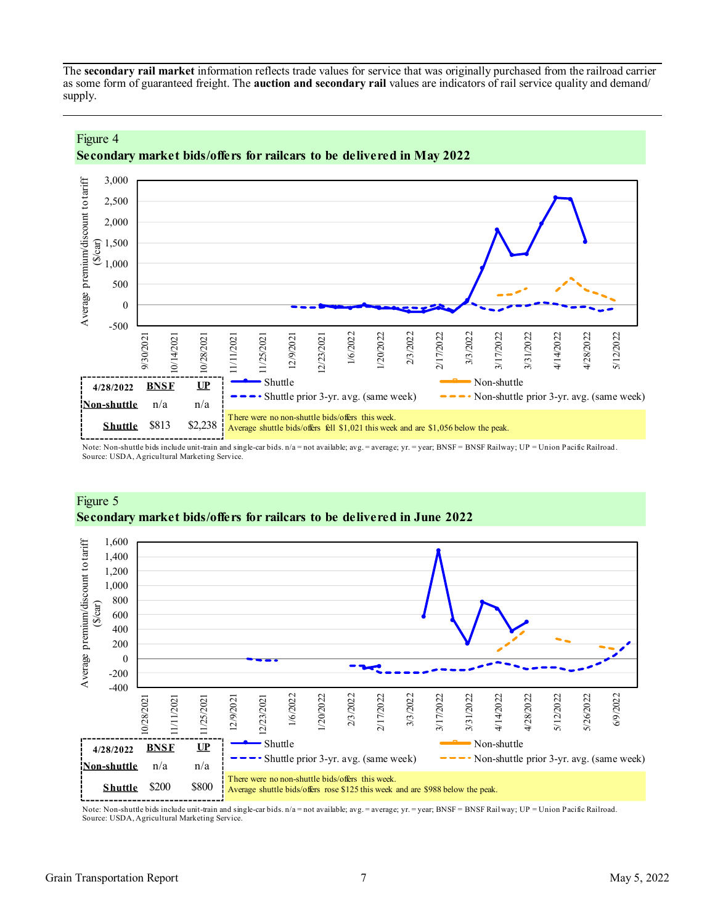The **secondary rail market** information reflects trade values for service that was originally purchased from the railroad carrier as some form of guaranteed freight. The **auction and secondary rail** values are indicators of rail service quality and demand/ supply.



### Figure 4 **Secondary market bids/offers for railcars to be delivered in May 2022**

Note: Non-shuttle bids include unit-train and single-car bids. n/a = not available; avg. = average; yr. = year; BNSF = BNSF Railway; UP = Union Pacific Railroad. Source: USDA, Agricultural Marketing Service.



### Figure 5 **Secondary market bids/offers for railcars to be delivered in June 2022**

Note: Non-shuttle bids include unit-train and single-car bids. n/a = not available; avg. = average; yr. = year; BNSF = BNSF Railway; UP = Union Pacific Railroad. Source: USDA, Agricultural Marketing Service.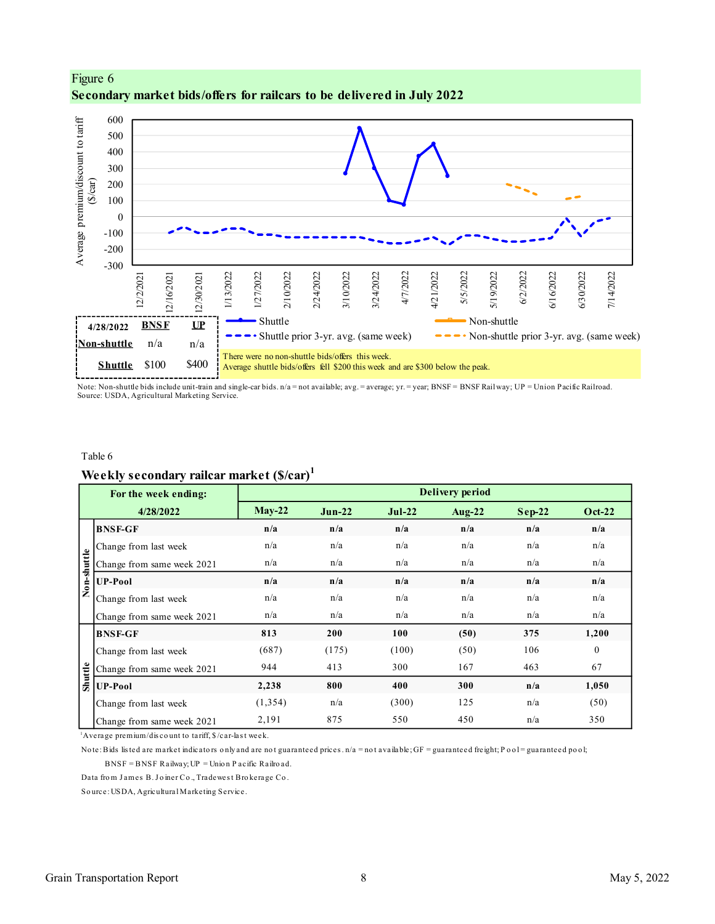

<span id="page-7-0"></span>Figure 6 **Secondary market bids/offers for railcars to be delivered in July 2022**

Note: Non-shuttle bids include unit-train and single-car bids. n/a = not available; avg. = average; yr. = year; BNSF = BNSF Railway; UP = Union Pacific Railroad. Source: USDA, Agricultural Marketing Service.

#### Table 6

# **Weekly secondary railcar market (\$/car)<sup>1</sup>**

|             | For the week ending:                                                                                                                                |          |          |          | <b>Delivery period</b> |          |               |
|-------------|-----------------------------------------------------------------------------------------------------------------------------------------------------|----------|----------|----------|------------------------|----------|---------------|
|             | 4/28/2022                                                                                                                                           | $May-22$ | $Jun-22$ | $Jul-22$ | Aug- $22$              | $Sep-22$ | <b>Oct-22</b> |
|             | <b>BNSF-GF</b>                                                                                                                                      | n/a      | n/a      | n/a      | n/a                    | n/a      | n/a           |
|             | Change from last week                                                                                                                               | n/a      | n/a      | n/a      | n/a                    | n/a      | n/a           |
|             | Change from same week 2021                                                                                                                          | n/a      | n/a      | n/a      | n/a                    | n/a      | n/a           |
| Non-shuttle | UP-Pool                                                                                                                                             | n/a      | n/a      | n/a      | n/a                    | n/a      | n/a           |
|             | Change from last week                                                                                                                               | n/a      | n/a      | n/a      | n/a                    | n/a      | n/a           |
|             | Change from same week 2021                                                                                                                          | n/a      | n/a      | n/a      | n/a                    | n/a      | n/a           |
|             | <b>BNSF-GF</b>                                                                                                                                      | 813      | 200      | 100      | (50)                   | 375      | 1,200         |
|             | Change from last week                                                                                                                               | (687)    | (175)    | (100)    | (50)                   | 106      | $\theta$      |
|             | Change from same week 2021                                                                                                                          | 944      | 413      | 300      | 167                    | 463      | 67            |
| Shuttle     | <b>UP-Pool</b>                                                                                                                                      | 2,238    | 800      | 400      | 300                    | n/a      | 1,050         |
|             | Change from last week                                                                                                                               | (1, 354) | n/a      | (300)    | 125                    | n/a      | (50)          |
|             | Change from same week 2021                                                                                                                          | 2,191    | 875      | 550      | 450                    | n/a      | 350           |
|             | $\Delta$ Average premium/discount to tariff, $\frac{1}{2}$ /car-last week.                                                                          |          |          |          |                        |          |               |
|             | Note: Bids listed are market indicators only and are not guaranteed prices. $n/a =$ not available; GF = guaranteed freight; Pool = guaranteed pool; |          |          |          |                        |          |               |
|             | $BNSF = BNSF$ Railway; $UP =$ Unio n P acific Railro ad.                                                                                            |          |          |          |                        |          |               |
|             | Data from James B. Joiner Co., Tradewest Brokerage Co.                                                                                              |          |          |          |                        |          |               |
|             | Source: USDA, Agricultural Marketing Service.                                                                                                       |          |          |          |                        |          |               |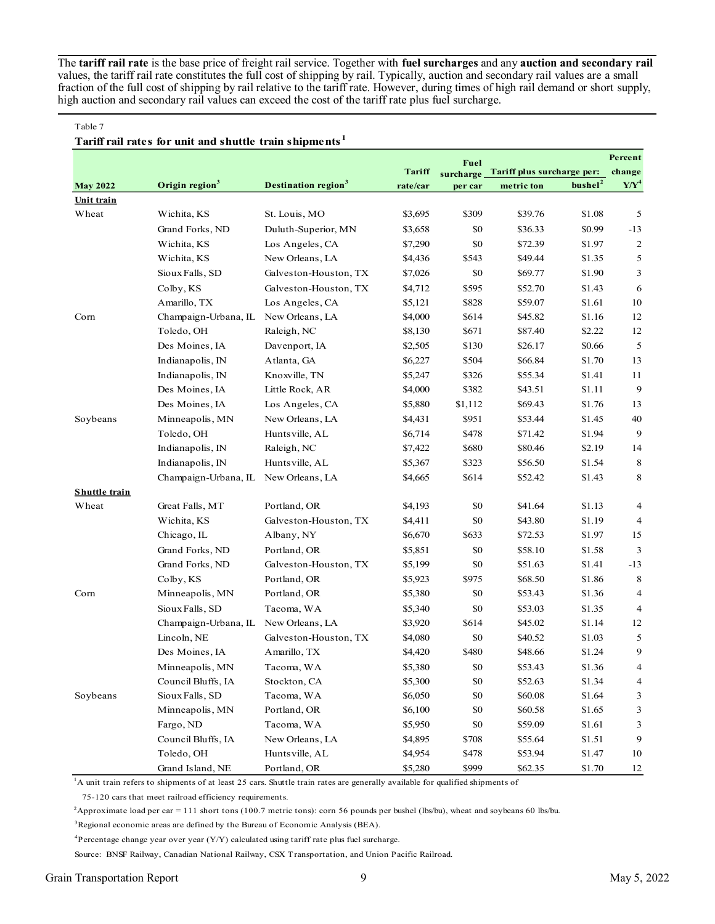The **tariff rail rate** is the base price of freight rail service. Together with **fuel surcharges** and any **auction and secondary rail** values, the tariff rail rate constitutes the full cost of shipping by rail. Typically, auction and secondary rail values are a small fraction of the full cost of shipping by rail relative to the tariff rate. However, during times of high rail demand or short supply, high auction and secondary rail values can exceed the cost of the tariff rate plus fuel surcharge.

#### Table 7

### **Tariff rail rates for unit and shuttle train shipments <sup>1</sup>**

|                      |                            |                                 |               | Fuel      |                            |                     | Percent        |
|----------------------|----------------------------|---------------------------------|---------------|-----------|----------------------------|---------------------|----------------|
|                      |                            |                                 | <b>Tariff</b> | surcharge | Tariff plus surcharge per: |                     | change         |
| <b>May 2022</b>      | Origin region <sup>3</sup> | Destination region <sup>3</sup> | rate/car      | per car   | metric ton                 | bushel <sup>2</sup> | $Y/Y^4$        |
| Unit train           |                            |                                 |               |           |                            |                     |                |
| Wheat                | Wichita, KS                | St. Louis, MO                   | \$3,695       | \$309     | \$39.76                    | \$1.08              | 5              |
|                      | Grand Forks, ND            | Duluth-Superior, MN             | \$3,658       | \$0       | \$36.33                    | \$0.99              | $-13$          |
|                      | Wichita, KS                | Los Angeles, CA                 | \$7,290       | \$0       | \$72.39                    | \$1.97              | $\overline{c}$ |
|                      | Wichita, KS                | New Orleans, LA                 | \$4,436       | \$543     | \$49.44                    | \$1.35              | 5              |
|                      | Sioux Falls, SD            | Galveston-Houston, TX           | \$7,026       | \$0       | \$69.77                    | \$1.90              | 3              |
|                      | Colby, KS                  | Galveston-Houston, TX           | \$4,712       | \$595     | \$52.70                    | \$1.43              | 6              |
|                      | Amarillo, TX               | Los Angeles, CA                 | \$5,121       | \$828     | \$59.07                    | \$1.61              | 10             |
| Corn                 | Champaign-Urbana, IL       | New Orleans, LA                 | \$4,000       | \$614     | \$45.82                    | \$1.16              | 12             |
|                      | Toledo, OH                 | Raleigh, NC                     | \$8,130       | \$671     | \$87.40                    | \$2.22              | 12             |
|                      | Des Moines, IA             | Davenport, IA                   | \$2,505       | \$130     | \$26.17                    | \$0.66              | 5              |
|                      | Indianapolis, IN           | Atlanta, GA                     | \$6,227       | \$504     | \$66.84                    | \$1.70              | 13             |
|                      | Indianapolis, IN           | Knoxville, TN                   | \$5,247       | \$326     | \$55.34                    | \$1.41              | 11             |
|                      | Des Moines, IA             | Little Rock, AR                 | \$4,000       | \$382     | \$43.51                    | \$1.11              | 9              |
|                      | Des Moines, IA             | Los Angeles, CA                 | \$5,880       | \$1,112   | \$69.43                    | \$1.76              | 13             |
| Soybeans             | Minneapolis, MN            | New Orleans, LA                 | \$4,431       | \$951     | \$53.44                    | \$1.45              | 40             |
|                      | Toledo, OH                 | Hunts ville, AL                 | \$6,714       | \$478     | \$71.42                    | \$1.94              | 9              |
|                      | Indianapolis, IN           | Raleigh, NC                     | \$7,422       | \$680     | \$80.46                    | \$2.19              | 14             |
|                      | Indianapolis, IN           | Hunts ville, AL                 | \$5,367       | \$323     | \$56.50                    | \$1.54              | 8              |
|                      | Champaign-Urbana, IL       | New Orleans, LA                 | \$4,665       | \$614     | \$52.42                    | \$1.43              | 8              |
| <b>Shuttle train</b> |                            |                                 |               |           |                            |                     |                |
| Wheat                | Great Falls, MT            | Portland, OR                    | \$4,193       | \$0       | \$41.64                    | \$1.13              | 4              |
|                      | Wichita, KS                | Galveston-Houston, TX           | \$4,411       | \$0       | \$43.80                    | \$1.19              | $\overline{4}$ |
|                      | Chicago, IL                | Albany, NY                      | \$6,670       | \$633     | \$72.53                    | \$1.97              | 15             |
|                      | Grand Forks, ND            | Portland, OR                    | \$5,851       | \$0       | \$58.10                    | \$1.58              | 3              |
|                      | Grand Forks, ND            | Galveston-Houston, TX           | \$5,199       | \$0       | \$51.63                    | \$1.41              | $-13$          |
|                      | Colby, KS                  | Portland, OR                    | \$5,923       | \$975     | \$68.50                    | \$1.86              | 8              |
| Corn                 | Minneapolis, MN            | Portland, OR                    | \$5,380       | \$0       | \$53.43                    | \$1.36              | 4              |
|                      | Sioux Falls, SD            | Tacoma, WA                      | \$5,340       | \$0       | \$53.03                    | \$1.35              | 4              |
|                      | Champaign-Urbana, IL       | New Orleans, LA                 | \$3,920       | \$614     | \$45.02                    | \$1.14              | 12             |
|                      | Lincoln, NE                | Galveston-Houston, TX           | \$4,080       | \$0       | \$40.52                    | \$1.03              | 5              |
|                      | Des Moines, IA             | Amarillo, TX                    | \$4,420       | \$480     | \$48.66                    | \$1.24              | 9              |
|                      | Minneapolis, MN            | Tacoma, WA                      | \$5,380       | \$0       | \$53.43                    | \$1.36              | 4              |
|                      | Council Bluffs, IA         | Stockton, CA                    | \$5,300       | \$0       | \$52.63                    | \$1.34              | 4              |
| Soybeans             | Sioux Falls, SD            | Tacoma, WA                      | \$6,050       | \$0       | \$60.08                    | \$1.64              | 3              |
|                      | Minneapolis, MN            | Portland, OR                    | \$6,100       | \$0       | \$60.58                    | \$1.65              | 3              |
|                      | Fargo, ND                  | Tacoma, WA                      | \$5,950       | \$0       | \$59.09                    | \$1.61              | 3              |
|                      | Council Bluffs, IA         | New Orleans, LA                 | \$4,895       | \$708     | \$55.64                    | \$1.51              | 9              |
|                      | Toledo, OH                 | Hunts ville, AL                 | \$4,954       | \$478     | \$53.94                    | \$1.47              | 10             |
|                      | Grand Island, NE           | Portland, OR                    | \$5,280       | \$999     | \$62.35                    | \$1.70              | 12             |

<sup>1</sup>A unit train refers to shipments of at least 25 cars. Shuttle train rates are generally available for qualified shipments of

75-120 cars that meet railroad efficiency requirements.

<sup>2</sup>Approximate load per car = 111 short tons (100.7 metric tons): corn 56 pounds per bushel (lbs/bu), wheat and soybeans 60 lbs/bu.

<sup>3</sup>Regional economic areas are defined by the Bureau of Economic Analysis (BEA).

 ${}^{4}$ Percentage change year over year (Y/Y) calculated using tariff rate plus fuel surcharge.

Source: BNSF Railway, Canadian National Railway, CSX Transportation, and Union Pacific Railroad.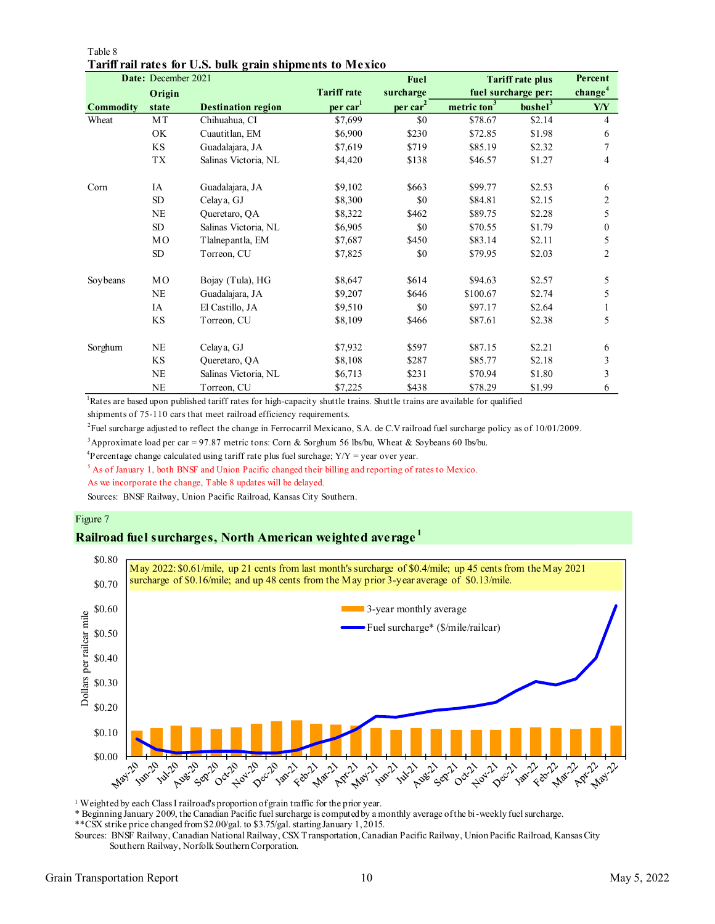| Date: December 2021 |                |                           |                      | <b>Fuel</b>    |                         | <b>Tariff rate plus</b> | Percent             |
|---------------------|----------------|---------------------------|----------------------|----------------|-------------------------|-------------------------|---------------------|
|                     | Origin         |                           | <b>Tariff rate</b>   | surcharge      |                         | fuel surcharge per:     | change <sup>4</sup> |
| <b>Commodity</b>    | state          | <b>Destination region</b> | per car <sup>1</sup> | $per \, car^2$ | metric ton <sup>3</sup> | bushel <sup>3</sup>     | Y/Y                 |
| Wheat               | MT             | Chihuahua, CI             | \$7,699              | \$0            | \$78.67                 | \$2.14                  | $\overline{4}$      |
|                     | OK             | Cuautitlan, EM            | \$6,900              | \$230          | \$72.85                 | \$1.98                  | 6                   |
|                     | KS             | Guadalajara, JA           | \$7,619              | \$719          | \$85.19                 | \$2.32                  | 7                   |
|                     | TX             | Salinas Victoria, NL      | \$4,420              | \$138          | \$46.57                 | \$1.27                  | 4                   |
| Corn                | IA             | Guadalajara, JA           | \$9,102              | \$663          | \$99.77                 | \$2.53                  | 6                   |
|                     | SD <sub></sub> | Celaya, GJ                | \$8,300              | \$0            | \$84.81                 | \$2.15                  | 2                   |
|                     | <b>NE</b>      | Queretaro, QA             | \$8,322              | \$462          | \$89.75                 | \$2.28                  | 5                   |
|                     | SD             | Salinas Victoria, NL      | \$6,905              | \$0            | \$70.55                 | \$1.79                  | $\theta$            |
|                     | MO             | Tlalnep antla, EM         | \$7,687              | \$450          | \$83.14                 | \$2.11                  | 5                   |
|                     | SD             | Torreon, CU               | \$7,825              | \$0            | \$79.95                 | \$2.03                  | 2                   |
| Soy beans           | MO             | Bojay (Tula), HG          | \$8,647              | \$614          | \$94.63                 | \$2.57                  | 5                   |
|                     | <b>NE</b>      | Guadalajara, JA           | \$9,207              | \$646          | \$100.67                | \$2.74                  | 5                   |
|                     | IA             | El Castillo, JA           | \$9,510              | \$0            | \$97.17                 | \$2.64                  |                     |
|                     | <b>KS</b>      | Torreon, CU               | \$8,109              | \$466          | \$87.61                 | \$2.38                  | 5                   |
| Sorghum             | <b>NE</b>      | Celaya, GJ                | \$7,932              | \$597          | \$87.15                 | \$2.21                  | 6                   |
|                     | KS             | Queretaro, QA             | \$8,108              | \$287          | \$85.77                 | \$2.18                  | 3                   |
|                     | NE             | Salinas Victoria, NL      | \$6,713              | \$231          | \$70.94                 | \$1.80                  | 3                   |
|                     | <b>NE</b>      | Torreon, CU               | \$7,225              | \$438          | \$78.29                 | \$1.99                  | 6                   |

### Table 8 **Tariff rail rates for U.S. bulk grain shipments to Mexico**

<sup>1</sup>Rates are based upon published tariff rates for high-capacity shuttle trains. Shuttle trains are available for qualified

shipments of 75-110 cars that meet railroad efficiency requirements.

2 Fuel surcharge adjusted to reflect the change in Ferrocarril Mexicano, S.A. de C.V railroad fuel surcharge policy as of 10/01/2009.

<sup>3</sup>Approximate load per car = 97.87 metric tons: Corn & Sorghum 56 lbs/bu, Wheat & Soybeans 60 lbs/bu.

<sup>4</sup>Percentage change calculated using tariff rate plus fuel surchage;  $Y/Y = year$  over year.

<sup>5</sup> As of January 1, both BNSF and Union Pacific changed their billing and reporting of rates to Mexico.

As we incorporate the change, Table 8 updates will be delayed.

Sources: BNSF Railway, Union Pacific Railroad, Kansas City Southern.

### Figure 7

### **Railroad fuel surcharges, North American weighted average <sup>1</sup>**



<sup>1</sup> Weighted by each Class I railroad's proportion of grain traffic for the prior year.

\* Beginning January 2009, the Canadian Pacific fuel surcharge is computed by a monthly average of the bi-weekly fuel surcharge.

\*\*CSX strike price changed from \$2.00/gal. to \$3.75/gal. starting January 1, 2015.

Sources: BNSF Railway, Canadian National Railway, CSX Transportation, Canadian Pacific Railway, Union Pacific Railroad, Kansas City Southern Railway, Norfolk Southern Corporation.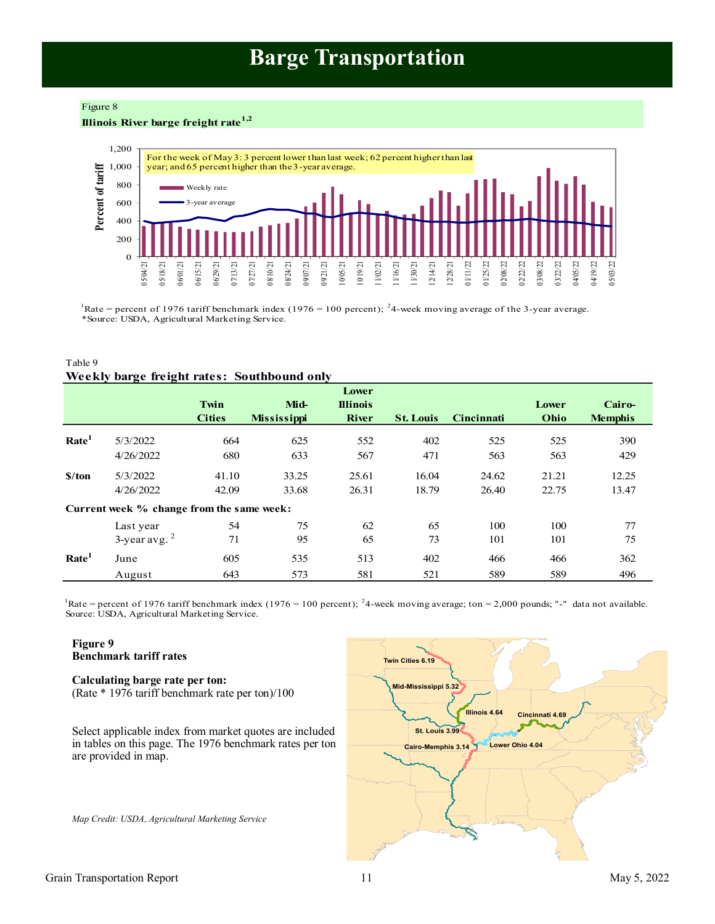# **Barge Transportation**

#### <span id="page-10-0"></span>Figure 8

### **Illinois River barge freight rate1,2**



Rate = percent of 1976 tariff benchmark index (1976 = 100 percent); <sup>2</sup>4-week moving average of the 3-year average. \*Source: USDA, Agricultural Marketing Service.

### Table 9 **Weekly barge freight rates: Southbound only**

|                             |                                           | Twin<br><b>Cities</b> | Mid-<br><b>Mississippi</b> | Lower<br><b>Illinois</b><br><b>River</b> | <b>St. Louis</b> | <b>Cincinnati</b> | Lower<br>Ohio | Cairo-<br><b>Memphis</b> |
|-----------------------------|-------------------------------------------|-----------------------|----------------------------|------------------------------------------|------------------|-------------------|---------------|--------------------------|
| Rate <sup>1</sup>           | 5/3/2022                                  | 664                   | 625                        | 552                                      | 402              | 525               | 525           | 390                      |
|                             | 4/26/2022                                 | 680                   | 633                        | 567                                      | 471              | 563               | 563           | 429                      |
| $\frac{\text{S}}{\text{A}}$ | 5/3/2022                                  | 41.10                 | 33.25                      | 25.61                                    | 16.04            | 24.62             | 21.21         | 12.25                    |
|                             | 4/26/2022                                 | 42.09                 | 33.68                      | 26.31                                    | 18.79            | 26.40             | 22.75         | 13.47                    |
|                             | Current week % change from the same week: |                       |                            |                                          |                  |                   |               |                          |
|                             | Last year                                 | 54                    | 75                         | 62                                       | 65               | 100               | 100           | 77                       |
|                             | $3$ -year avg. $2$                        | 71                    | 95                         | 65                                       | 73               | 101               | 101           | 75                       |
| Rate <sup>1</sup>           | June                                      | 605                   | 535                        | 513                                      | 402              | 466               | 466           | 362                      |
|                             | August                                    | 643                   | 573                        | 581                                      | 521              | 589               | 589           | 496                      |

Source: USDA, Agricultural Marketing Service. Rate = percent of 1976 tariff benchmark index (1976 = 100 percent); <sup>2</sup>4-week moving average; ton = 2,000 pounds; "-" data not available.

### **Figure 9 Benchmark tariff rates**

#### **Calculating barge rate per ton:** (Rate \* 1976 tariff benchmark rate per ton)/100

Select applicable index from market quotes are included in tables on this page. The 1976 benchmark rates per ton are provided in map.

*Map Credit: USDA, Agricultural Marketing Service* 

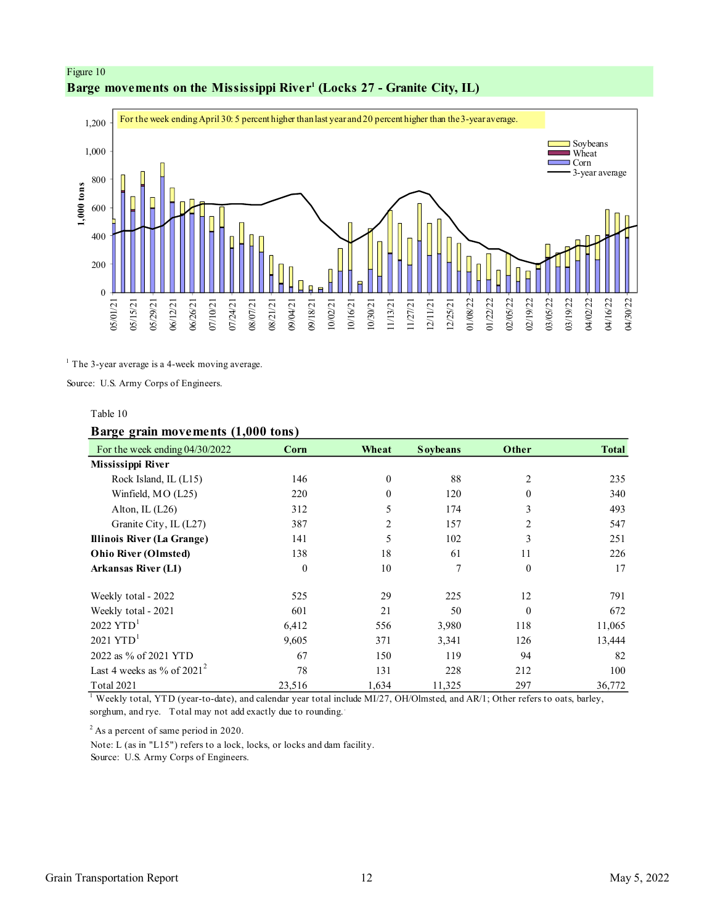<span id="page-11-0"></span>



 $<sup>1</sup>$  The 3-year average is a 4-week moving average.</sup>

Source: U.S. Army Corps of Engineers.

### Table 10

### **Barge grain movements (1,000 tons)**

| For the week ending $04/30/2022$ | Corn     | Wheat          | <b>Soybeans</b> | Other          | <b>Total</b> |
|----------------------------------|----------|----------------|-----------------|----------------|--------------|
| Mississippi River                |          |                |                 |                |              |
| Rock Island, IL (L15)            | 146      | $\theta$       | 88              | $\overline{2}$ | 235          |
| Winfield, MO (L25)               | 220      | $\theta$       | 120             | $\theta$       | 340          |
| Alton, IL $(L26)$                | 312      | 5              | 174             | 3              | 493          |
| Granite City, IL (L27)           | 387      | $\overline{2}$ | 157             | $\overline{2}$ | 547          |
| Illinois River (La Grange)       | 141      | 5              | 102             | 3              | 251          |
| <b>Ohio River (Olmsted)</b>      | 138      | 18             | 61              | 11             | 226          |
| <b>Arkansas River (L1)</b>       | $\theta$ | 10             | 7               | $\theta$       | 17           |
| Weekly total - 2022              | 525      | 29             | 225             | 12             | 791          |
| Weekly total - 2021              | 601      | 21             | 50              | $\theta$       | 672          |
| $2022$ YTD <sup>1</sup>          | 6,412    | 556            | 3,980           | 118            | 11,065       |
| $2021$ YTD <sup>1</sup>          | 9,605    | 371            | 3,341           | 126            | 13,444       |
| 2022 as % of 2021 YTD            | 67       | 150            | 119             | 94             | 82           |
| Last 4 weeks as % of $2021^2$    | 78       | 131            | 228             | 212            | 100          |
| Total 2021                       | 23,516   | 1,634          | 11,325          | 297            | 36,772       |

 $^1$  Weekly total, YTD (year-to-date), and calendar year total include MI/27, OH/Olmsted, and AR/1; Other refers to oats, barley, sorghum, and rye. Total may not add exactly due to rounding.

 $2$ As a percent of same period in 2020.

Note: L (as in "L15") refers to a lock, locks, or locks and dam facility.

Source: U.S. Army Corps of Engineers.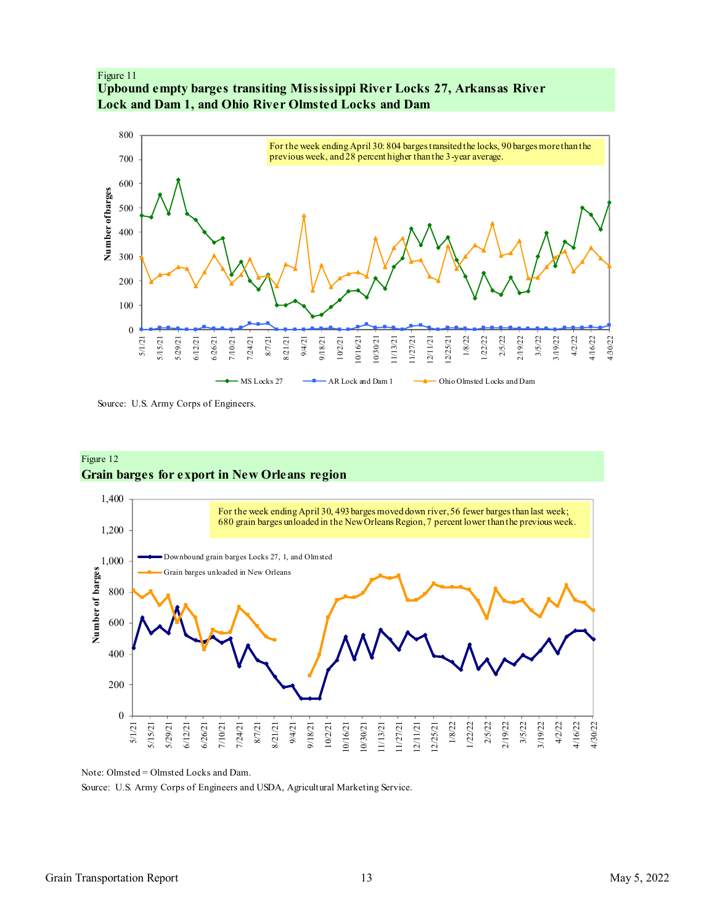<span id="page-12-0"></span>



Source: U.S. Army Corps of Engineers.

### Figure 12 **Grain barges for export in New Orleans region**



Note: Olmsted = Olmsted Locks and Dam.

Source: U.S. Army Corps of Engineers and USDA, Agricultural Marketing Service.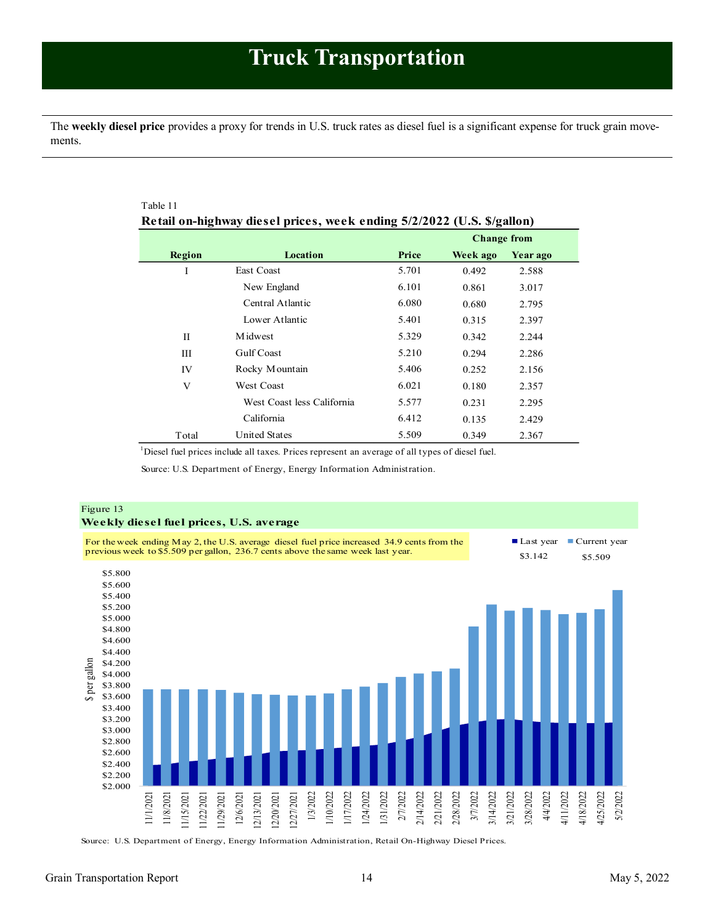<span id="page-13-1"></span><span id="page-13-0"></span>The **weekly diesel price** provides a proxy for trends in U.S. truck rates as diesel fuel is a significant expense for truck grain movements.

| Table 11 |                                                                        |       |                    |          |
|----------|------------------------------------------------------------------------|-------|--------------------|----------|
|          | Retail on-highway diesel prices, week ending 5/2/2022 (U.S. \$/gallon) |       |                    |          |
|          |                                                                        |       | <b>Change from</b> |          |
| Region   | Location                                                               | Price | Week ago           | Year ago |
| I        | East Coast                                                             | 5.701 | 0.492              | 2.588    |
|          | New England                                                            | 6.101 | 0.861              | 3.017    |
|          | Central Atlantic                                                       | 6.080 | 0.680              | 2.795    |
|          | Lower Atlantic                                                         | 5.401 | 0.315              | 2.397    |
| H        | <b>M</b> idwest                                                        | 5.329 | 0.342              | 2.244    |
| Ш        | <b>Gulf Coast</b>                                                      | 5.210 | 0.294              | 2.286    |
| IV       | Rocky Mountain                                                         | 5.406 | 0.252              | 2.156    |
| V        | <b>West Coast</b>                                                      | 6.021 | 0.180              | 2.357    |
|          | West Coast less California                                             | 5.577 | 0.231              | 2.295    |
|          | California                                                             | 6.412 | 0.135              | 2.429    |
| Total    | <b>United States</b>                                                   | 5.509 | 0.349              | 2.367    |

<sup>1</sup>Diesel fuel prices include all taxes. Prices represent an average of all types of diesel fuel.

Source: U.S. Department of Energy, Energy Information Administration.



Source: U.S. Department of Energy, Energy Information Administration, Retail On-Highway Diesel Prices.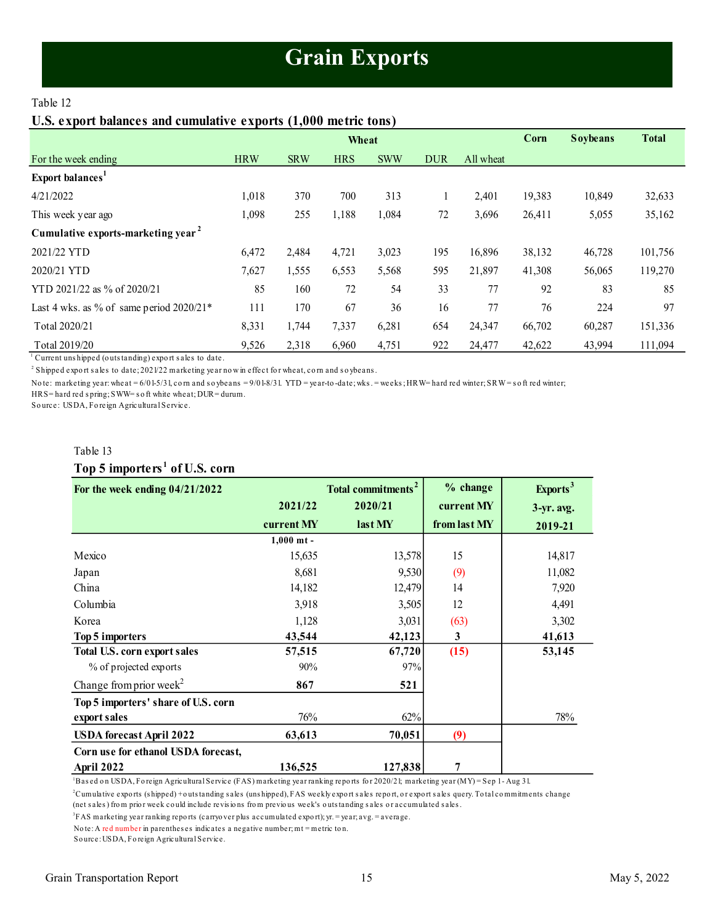# **Grain Exports**

### <span id="page-14-1"></span><span id="page-14-0"></span>Table 12

### **U.S. export balances and cumulative exports (1,000 metric tons)**

|                                                |            |            | Wheat      |            |            |           | Corn   | <b>Soybeans</b> | <b>Total</b> |
|------------------------------------------------|------------|------------|------------|------------|------------|-----------|--------|-----------------|--------------|
| For the week ending                            | <b>HRW</b> | <b>SRW</b> | <b>HRS</b> | <b>SWW</b> | <b>DUR</b> | All wheat |        |                 |              |
| Export balances <sup>1</sup>                   |            |            |            |            |            |           |        |                 |              |
| 4/21/2022                                      | 1,018      | 370        | 700        | 313        |            | 2,401     | 19,383 | 10,849          | 32,633       |
| This week year ago                             | 1,098      | 255        | 1,188      | 1,084      | 72         | 3,696     | 26,411 | 5,055           | 35,162       |
| Cumulative exports-marketing year <sup>2</sup> |            |            |            |            |            |           |        |                 |              |
| 2021/22 YTD                                    | 6,472      | 2,484      | 4,721      | 3,023      | 195        | 16,896    | 38,132 | 46,728          | 101,756      |
| 2020/21 YTD                                    | 7,627      | 1,555      | 6,553      | 5,568      | 595        | 21,897    | 41,308 | 56,065          | 119,270      |
| YTD 2021/22 as % of 2020/21                    | 85         | 160        | 72         | 54         | 33         | 77        | 92     | 83              | 85           |
| Last 4 wks. as % of same period $2020/21*$     | 111        | 170        | 67         | 36         | 16         | 77        | 76     | 224             | 97           |
| Total 2020/21                                  | 8,331      | 1,744      | 7,337      | 6,281      | 654        | 24,347    | 66,702 | 60,287          | 151,336      |
| Total 2019/20                                  | 9,526      | 2,318      | 6,960      | 4,751      | 922        | 24,477    | 42,622 | 43,994          | 111,094      |

Current unshipped (outstanding) export sales to date.

2 Shipped expo rt s ales to date; 2021/22 marketing year no w in effect fo r wheat, co rn and s o ybeans .

Note: marketing year: wheat = 6/01-5/31, corn and soybeans = 9/01-8/31. YTD = year-to-date; wks. = weeks; HRW= hard red winter; SRW=soft red winter;

HRS= hard red s pring; SWW= s o ft white wheat; DUR= durum.

So urce: USDA, Fo reign Agricultural Service.

# Table 13 **Top 5 importers <sup>1</sup> of U.S. corn**

| For the week ending $04/21/2022$    |              | <b>Total commitments<sup>2</sup></b> | % change     | Exports <sup>3</sup> |
|-------------------------------------|--------------|--------------------------------------|--------------|----------------------|
|                                     | 2021/22      | 2020/21                              | current MY   | $3-yr$ . avg.        |
|                                     | current MY   | last MY                              | from last MY | 2019-21              |
|                                     | $1,000$ mt - |                                      |              |                      |
| Mexico                              | 15,635       | 13,578                               | 15           | 14,817               |
| Japan                               | 8,681        | 9,530                                | (9)          | 11,082               |
| China                               | 14,182       | 12,479                               | 14           | 7,920                |
| Columbia                            | 3,918        | 3,505                                | 12           | 4,491                |
| Korea                               | 1,128        | 3,031                                | (63)         | 3,302                |
| Top 5 importers                     | 43,544       | 42,123                               | 3            | 41,613               |
| Total U.S. corn export sales        | 57,515       | 67,720                               | (15)         | 53,145               |
| % of projected exports              | 90%          | 97%                                  |              |                      |
| Change from prior week <sup>2</sup> | 867          | 521                                  |              |                      |
| Top 5 importers' share of U.S. corn |              |                                      |              |                      |
| export sales                        | 76%          | 62%                                  |              | 78%                  |
| <b>USDA</b> forecast April 2022     | 63,613       | 70,051                               | (9)          |                      |
| Corn use for ethanol USDA forecast, |              |                                      |              |                      |
| April 2022                          | 136,525      | 127,838                              | 7            |                      |

<sup>1</sup>Bas ed o n USDA, Fo reign Agricultural Service (FAS) marketing year ranking repo rts fo r 2020/21; marketing year (MY) = Sep 1 - Aug 31.

<sup>2</sup>Cumulative expo rts (s hipped) + o uts tanding s ales (uns hipped), FAS weekly expo rt s ales repo rt, o r expo rt s ales query. To tal co mmitments change (net s ales ) fro m prio r week co uld include revis io ns fro m previo us week's o uts tanding s ales o r accumulated s ales .

3 FAS marketing year ranking repo rts (carryo ver plus accumulated expo rt); yr. = year; avg. = average.

No te: A red number in parenthes es indicates a negative number; mt = metric to n.

So urce: USDA, Fo reign Agricultural Service.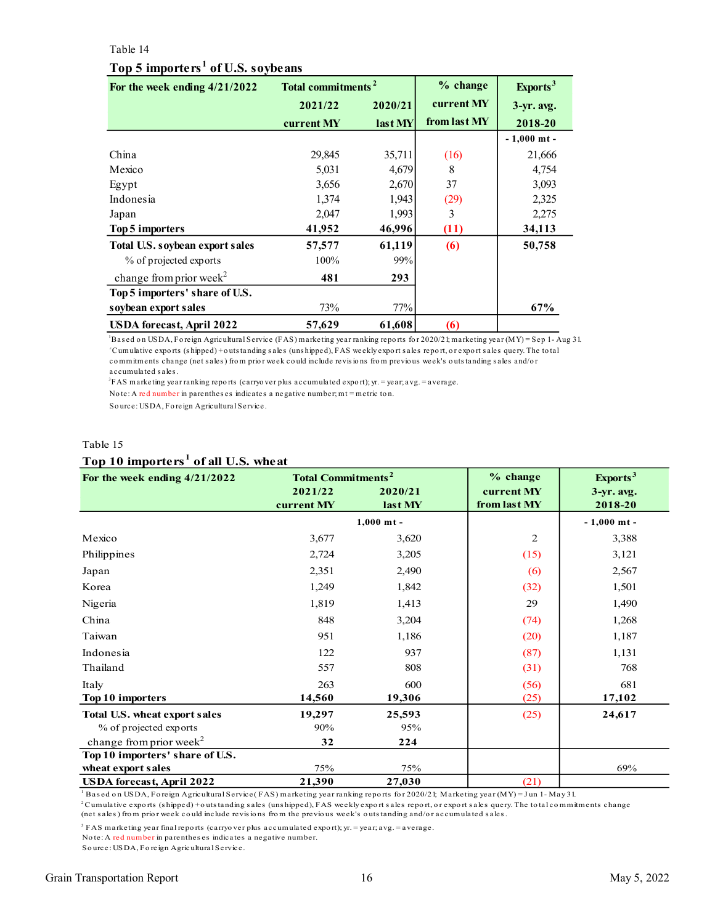### <span id="page-15-0"></span>Table 14

### **Top 5 importers <sup>1</sup> of U.S. soybeans**

| For the week ending 4/21/2022       | Total commitments <sup>2</sup> |         | % change     | Exports <sup>3</sup> |
|-------------------------------------|--------------------------------|---------|--------------|----------------------|
|                                     | 2021/22                        | 2020/21 | current MY   | $3-yr$ . avg.        |
|                                     | current MY                     | last MY | from last MY | 2018-20              |
|                                     |                                |         |              | $-1,000$ mt -        |
| China                               | 29,845                         | 35,711  | (16)         | 21,666               |
| Mexico                              | 5,031                          | 4,679   | 8            | 4,754                |
| Egypt                               | 3,656                          | 2,670   | 37           | 3,093                |
| Indonesia                           | 1,374                          | 1,943   | (29)         | 2,325                |
| Japan                               | 2,047                          | 1,993   | 3            | 2,275                |
| Top 5 importers                     | 41,952                         | 46,996  | (11)         | 34,113               |
| Total U.S. soybean export sales     | 57,577                         | 61,119  | (6)          | 50,758               |
| % of projected exports              | 100%                           | 99%     |              |                      |
| change from prior week <sup>2</sup> | 481                            | 293     |              |                      |
| Top 5 importers' share of U.S.      |                                |         |              |                      |
| soybean export sales                | 73%                            | 77%     |              | 67%                  |
| USDA forecast, April 2022           | 57,629                         | 61,608  | (6)          |                      |

<sup>1</sup>Bas ed o n USDA, Fo reign Agricultural Service (FAS) marketing year ranking repo rts fo r 2020/21; marketing year (MY) = Sep 1 - Aug 31. <sup>2</sup>Cumulative expo rts (s hipped) + o uts tanding s ales (uns hipped), FAS weekly expo rt s ales repo rt, o r expo rt s ales query. The to tal co mmitments change (net s ales ) fro m prio r week co uld include revis io ns fro m previo us week's o uts tanding s ales and/o r accumulated s ales .

3 FAS marketing year ranking repo rts (carryo ver plus accumulated expo rt); yr. = year; avg. = average.

No te: A red number in parenthes es indicates a negative number; mt = metric to n.

So urce: USDA, Fo reign Agricultural Service.

### Table 15

### **Top 10 importers <sup>1</sup> of all U.S. wheat**

| For the week ending 4/21/2022        | <b>Total Commitments<sup>2</sup></b> |              | $%$ change     | Exports <sup>3</sup> |
|--------------------------------------|--------------------------------------|--------------|----------------|----------------------|
|                                      | 2021/22                              | 2020/21      | current MY     | $3-yr$ . avg.        |
|                                      | current MY                           | last MY      | from last MY   | 2018-20              |
|                                      |                                      | $1,000$ mt - |                | $-1,000$ mt -        |
| Mexico                               | 3,677                                | 3,620        | $\overline{2}$ | 3,388                |
| Philippines                          | 2,724                                | 3,205        | (15)           | 3,121                |
| Japan                                | 2,351                                | 2,490        | (6)            | 2,567                |
| Korea                                | 1,249                                | 1,842        | (32)           | 1,501                |
| Nigeria                              | 1,819                                | 1,413        | 29             | 1,490                |
| China                                | 848                                  | 3,204        | (74)           | 1,268                |
| Taiwan                               | 951                                  | 1,186        | (20)           | 1,187                |
| Indonesia                            | 122                                  | 937          | (87)           | 1,131                |
| Thailand                             | 557                                  | 808          | (31)           | 768                  |
| Italy                                | 263                                  | 600          | (56)           | 681                  |
| Top 10 importers                     | 14,560                               | 19,306       | (25)           | 17,102               |
| <b>Total U.S. wheat export sales</b> | 19,297                               | 25,593       | (25)           | 24,617               |
| % of projected exports               | 90%                                  | 95%          |                |                      |
| change from prior week <sup>2</sup>  | 32                                   | 224          |                |                      |
| Top 10 importers' share of U.S.      |                                      |              |                |                      |
| wheat export sales                   | 75%                                  | 75%          |                | 69%                  |
| <b>USDA</b> forecast, April 2022     | 21,390                               | 27,030       | (21)           |                      |

<sup>1</sup> Based on USDA, Foreign Agricultural Service(FAS) marketing year ranking reports for 2020/21; Marketing year (MY) = Jun 1- May 31.

 $^2$ Cumulative exports (shipped) + outs tanding sales (uns hipped), FAS weekly export sales report, or export sales query. The total commitments change (net s ales ) fro m prio r week co uld include revis io ns fro m the previo us week's o uts tanding and/o r accumulated s ales .

3 FAS marketing year final repo rts (carryo ver plus accumulated expo rt); yr. = year; avg. = average.

No te: A red number in parenthes es indicates a negative number.

So urce: USDA, Fo reign Agricultural Service.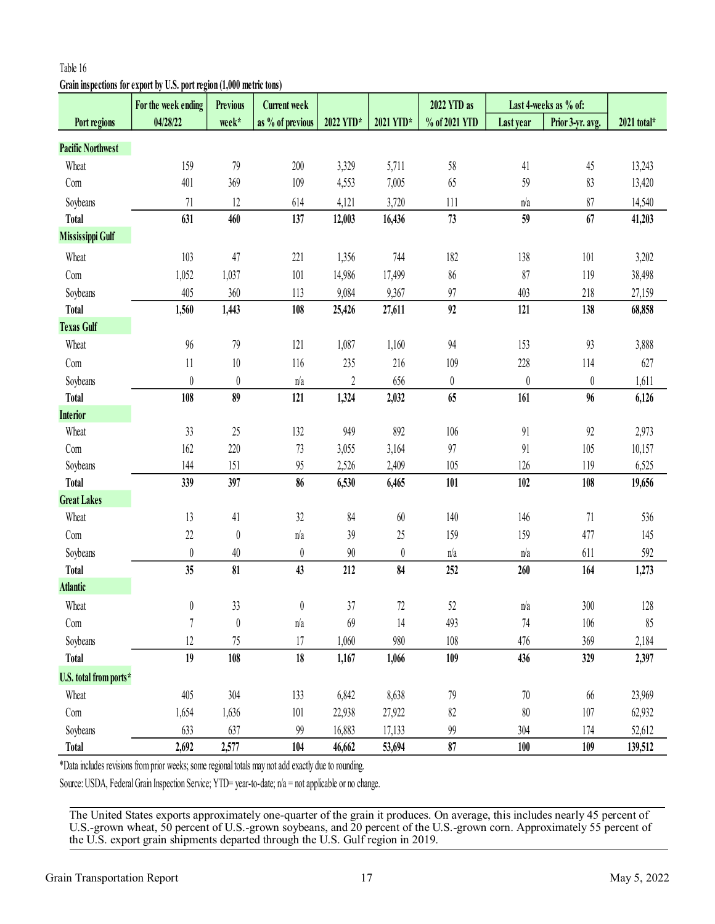# <span id="page-16-0"></span>**Grain inspections for export by U.S. port region (1,000 metric tons)**

|                          | For the week ending                                                                                   | <b>Previous</b>  | <b>Current week</b> |                  |                  | 2022 YTD as      |                  | Last 4-weeks as % of: |             |
|--------------------------|-------------------------------------------------------------------------------------------------------|------------------|---------------------|------------------|------------------|------------------|------------------|-----------------------|-------------|
| Port regions             | 04/28/22                                                                                              | week*            | as % of previous    | 2022 YTD*        | 2021 YTD*        | % of 2021 YTD    | Last year        | Prior 3-yr. avg.      | 2021 total* |
| <b>Pacific Northwest</b> |                                                                                                       |                  |                     |                  |                  |                  |                  |                       |             |
| Wheat                    | 159                                                                                                   | 79               | 200                 | 3,329            | 5,711            | 58               | 41               | 45                    | 13,243      |
| Com                      | 401                                                                                                   | 369              | 109                 | 4,553            | 7,005            | 65               | 59               | 83                    | 13,420      |
| Soybeans                 | $71\,$                                                                                                | 12               | 614                 | 4,121            | 3,720            | 111              | n/a              | 87                    | 14,540      |
| <b>Total</b>             | 631                                                                                                   | 460              | 137                 | 12,003           | 16,436           | 73               | 59               | 67                    | 41,203      |
| Mississippi Gulf         |                                                                                                       |                  |                     |                  |                  |                  |                  |                       |             |
| Wheat                    | 103                                                                                                   | 47               | 221                 | 1,356            | 744              | 182              | 138              | 101                   | 3,202       |
| Corn                     | 1,052                                                                                                 | 1,037            | 101                 | 14,986           | 17,499           | 86               | 87               | 119                   | 38,498      |
| Soybeans                 | 405                                                                                                   | 360              | 113                 | 9,084            | 9,367            | 97               | 403              | 218                   | 27,159      |
| <b>Total</b>             | 1,560                                                                                                 | 1,443            | 108                 | 25,426           | 27,611           | 92               | 121              | 138                   | 68,858      |
| <b>Texas Gulf</b>        |                                                                                                       |                  |                     |                  |                  |                  |                  |                       |             |
| Wheat                    | 96                                                                                                    | 79               | 121                 | 1,087            | 1,160            | 94               | 153              | 93                    | 3,888       |
| Com                      | $11\,$                                                                                                | $10\,$           | 116                 | 235              | 216              | 109              | 228              | 114                   | 627         |
| Soybeans                 | $\boldsymbol{0}$                                                                                      | $\boldsymbol{0}$ | n/a                 | $\boldsymbol{2}$ | 656              | $\boldsymbol{0}$ | $\boldsymbol{0}$ | $\theta$              | 1,611       |
| <b>Total</b>             | 108                                                                                                   | 89               | 121                 | 1,324            | 2,032            | 65               | 161              | 96                    | 6,126       |
| <b>Interior</b>          |                                                                                                       |                  |                     |                  |                  |                  |                  |                       |             |
| Wheat                    | 33                                                                                                    | 25               | 132                 | 949              | 892              | 106              | 91               | 92                    | 2,973       |
| Com                      | 162                                                                                                   | 220              | 73                  | 3,055            | 3,164            | 97               | 91               | 105                   | 10,157      |
| Soybeans                 | 144                                                                                                   | 151              | 95                  | 2,526            | 2,409            | 105              | 126              | 119                   | 6,525       |
| <b>Total</b>             | 339                                                                                                   | 397              | 86                  | 6,530            | 6,465            | 101              | 102              | 108                   | 19,656      |
| <b>Great Lakes</b>       |                                                                                                       |                  |                     |                  |                  |                  |                  |                       |             |
| Wheat                    | 13                                                                                                    | 41               | $32\,$              | 84               | $60\,$           | 140              | 146              | 71                    | 536         |
| Com                      | $22\,$                                                                                                | $\boldsymbol{0}$ | n/a                 | $39$             | 25               | 159              | 159              | 477                   | 145         |
| Soybeans                 | $\boldsymbol{0}$                                                                                      | $40\,$           | $\boldsymbol{0}$    | $90\,$           | $\boldsymbol{0}$ | n/a              | n/a              | 611                   | 592         |
| <b>Total</b>             | 35                                                                                                    | 81               | 43                  | $212$            | 84               | 252              | 260              | 164                   | 1,273       |
| <b>Atlantic</b>          |                                                                                                       |                  |                     |                  |                  |                  |                  |                       |             |
| Wheat                    | $\pmb{0}$                                                                                             | 33               | $\pmb{0}$           | 37               | 72               | 52               | n/a              | 300                   | 128         |
| Com                      | 7                                                                                                     | $\boldsymbol{0}$ | n/a                 | 69               | 14               | 493              | 74               | 106                   | 85          |
| Soybeans                 | $12 \,$                                                                                               | 75               | 17                  | 1,060            | 980              | 108              | 476              | 369                   | 2,184       |
| <b>Total</b>             | 19                                                                                                    | 108              | 18                  | 1,167            | 1,066            | 109              | 436              | 329                   | 2,397       |
| U.S. total from ports*   |                                                                                                       |                  |                     |                  |                  |                  |                  |                       |             |
| Wheat                    | 405                                                                                                   | 304              | 133                 | 6,842            | 8,638            | 79               | 70               | 66                    | 23,969      |
| Com                      | 1,654                                                                                                 | 1,636            | 101                 | 22,938           | 27,922           | 82               | 80               | 107                   | 62,932      |
| Soybeans                 | 633                                                                                                   | 637              | 99                  | 16,883           | 17,133           | 99               | 304              | 174                   | 52,612      |
| <b>Total</b>             | 2,692                                                                                                 | 2,577            | 104                 | 46,662           | 53,694           | 87               | 100              | 109                   | 139,512     |
|                          | *Data includes revisions from prior weeks; some regional totals may not add exactly due to rounding.  |                  |                     |                  |                  |                  |                  |                       |             |
|                          | Source: USDA, Federal Grain Inspection Service; YTD= year-to-date; n/a = not applicable or no change. |                  |                     |                  |                  |                  |                  |                       |             |
|                          |                                                                                                       |                  |                     |                  |                  |                  |                  |                       |             |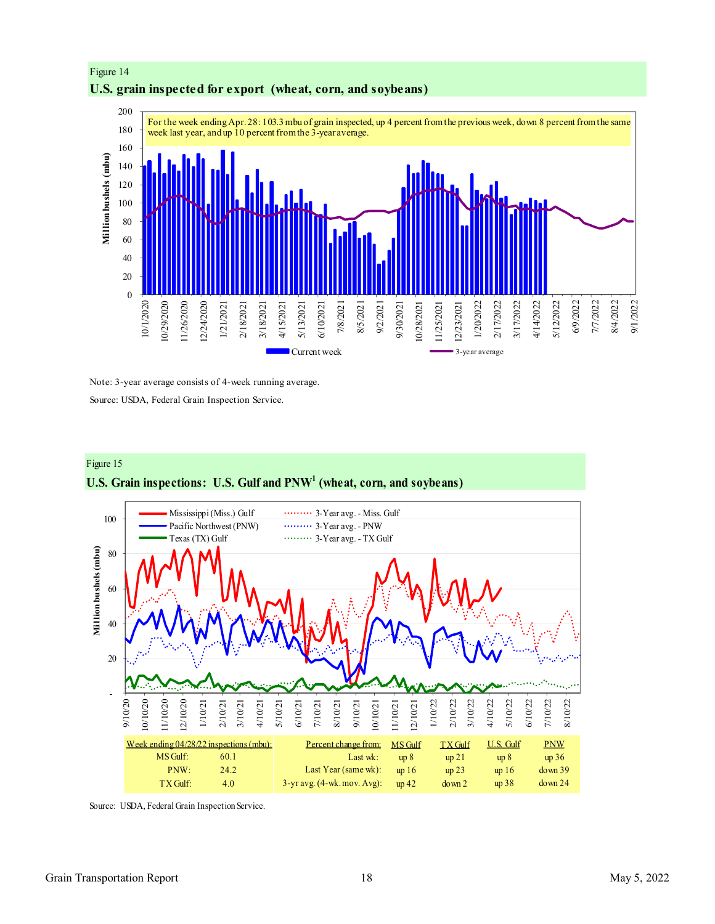# Figure 14 **U.S. grain inspected for export (wheat, corn, and soybeans)**



Note: 3-year average consists of 4-week running average. Source: USDA, Federal Grain Inspection Service.

# Figure 15 **U.S. Grain inspections: U.S. Gulf and PNW<sup>1</sup> (wheat, corn, and soybeans)**



Source: USDA, Federal Grain Inspection Service.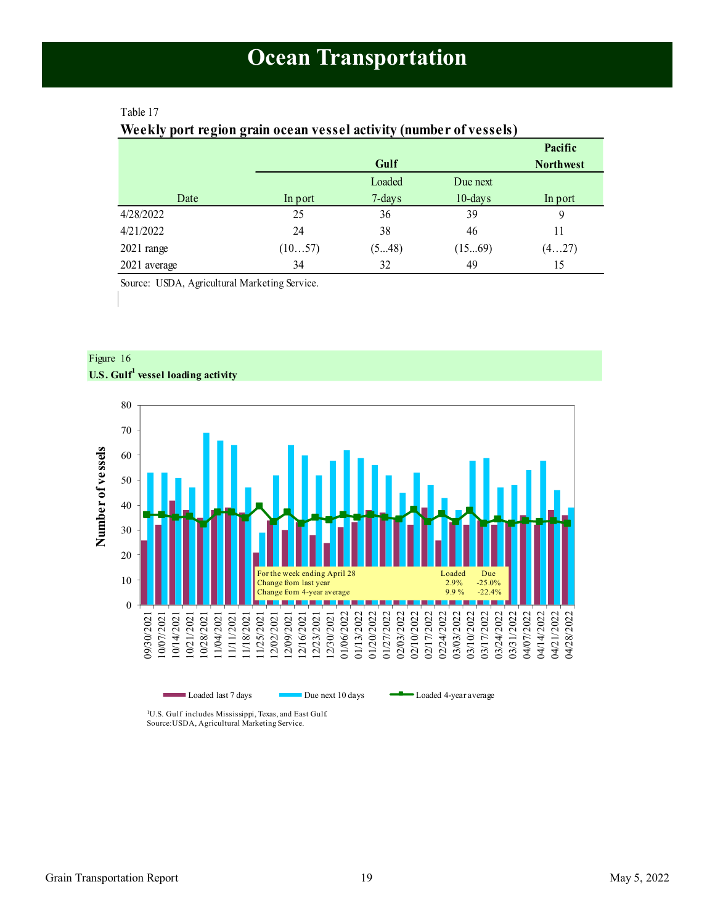### <span id="page-18-1"></span><span id="page-18-0"></span>Table 17

# **Weekly port region grain ocean vessel activity (number of vessels)**

|              |         |           |            | Pacific          |
|--------------|---------|-----------|------------|------------------|
|              |         | Gulf      |            | <b>Northwest</b> |
|              |         | Loaded    | Due next   |                  |
| Date         | In port | $7$ -days | $10$ -days | In port          |
| 4/28/2022    | 25      | 36        | 39         | 9                |
| 4/21/2022    | 24      | 38        | 46         | 11               |
| $2021$ range | (1057)  | (548)     | (1569)     | (427)            |
| 2021 average | 34      | 32        | 49         | 15               |

Source: USDA, Agricultural Marketing Service.



Figure 16 **U.S. Gulf<sup>1</sup> vessel loading activity**

> <sup>1</sup>U.S. Gulf includes Mississippi, Texas, and East Gulf. Source:USDA, Agricultural Marketing Service.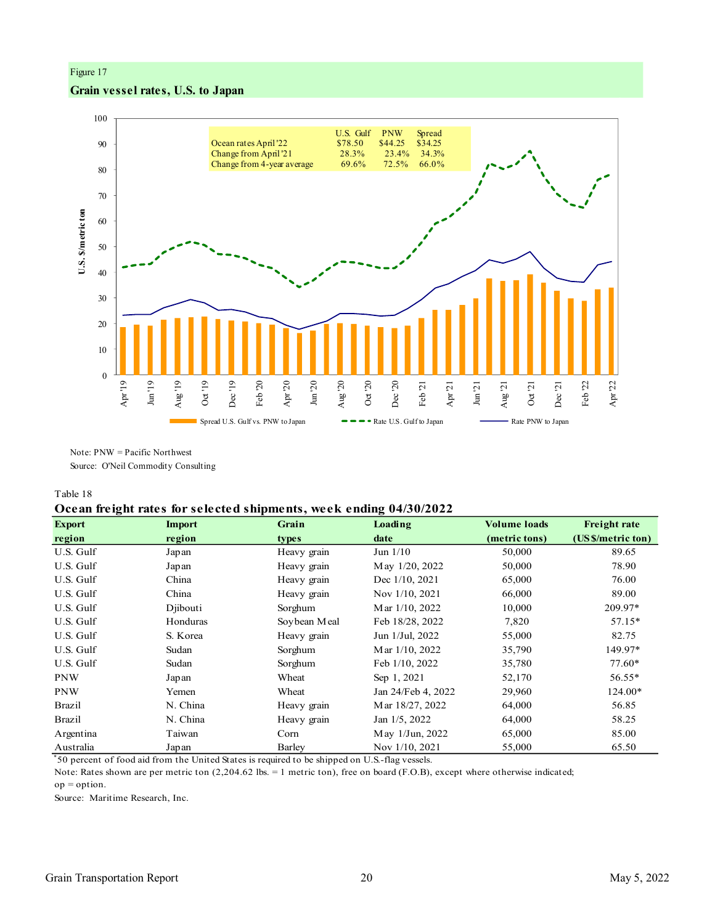# Figure 17 **Grain vessel rates, U.S. to Japan**



Note: PNW = Pacific Northwest Source: O'Neil Commodity Consulting

#### Table 18

### **Ocean freight rates for selected shipments, week ending 04/30/2022**

| <b>Export</b> | <b>Import</b> | Grain        | Loading            | <b>Volume loads</b> | <b>Freight rate</b> |
|---------------|---------------|--------------|--------------------|---------------------|---------------------|
| region        | region        | types        | date               | (metric tons)       | (US \$/metric ton)  |
| U.S. Gulf     | Japan         | Heavy grain  | Jun $1/10$         | 50,000              | 89.65               |
| U.S. Gulf     | Japan         | Heavy grain  | May 1/20, 2022     | 50,000              | 78.90               |
| U.S. Gulf     | China         | Heavy grain  | Dec 1/10, 2021     | 65,000              | 76.00               |
| U.S. Gulf     | China         | Heavy grain  | Nov 1/10, 2021     | 66,000              | 89.00               |
| U.S. Gulf     | Diibouti      | Sorghum      | Mar 1/10, 2022     | 10,000              | 209.97*             |
| U.S. Gulf     | Honduras      | Soybean Meal | Feb 18/28, 2022    | 7,820               | $57.15*$            |
| U.S. Gulf     | S. Korea      | Heavy grain  | Jun 1/Jul, 2022    | 55,000              | 82.75               |
| U.S. Gulf     | Sudan         | Sorghum      | Mar 1/10, 2022     | 35,790              | 149.97*             |
| U.S. Gulf     | Sudan         | Sorghum      | Feb 1/10, 2022     | 35,780              | 77.60*              |
| <b>PNW</b>    | Japan         | Wheat        | Sep 1, 2021        | 52,170              | 56.55*              |
| <b>PNW</b>    | Yemen         | Wheat        | Jan 24/Feb 4, 2022 | 29,960              | 124.00*             |
| <b>Brazil</b> | N. China      | Heavy grain  | Mar 18/27, 2022    | 64,000              | 56.85               |
| Brazil        | N. China      | Heavy grain  | Jan 1/5, 2022      | 64,000              | 58.25               |
| Argentina     | Taiwan        | Corn         | May 1/Jun, 2022    | 65,000              | 85.00               |
| Australia     | Japan         | Barley       | Nov 1/10, 2021     | 55,000              | 65.50               |

\* 50 percent of food aid from the United States is required to be shipped on U.S.-flag vessels.

 $op = option.$ Note: Rates shown are per metric ton (2,204.62 lbs. = 1 metric ton), free on board (F.O.B), except where otherwise indicated;

Source: Maritime Research, Inc.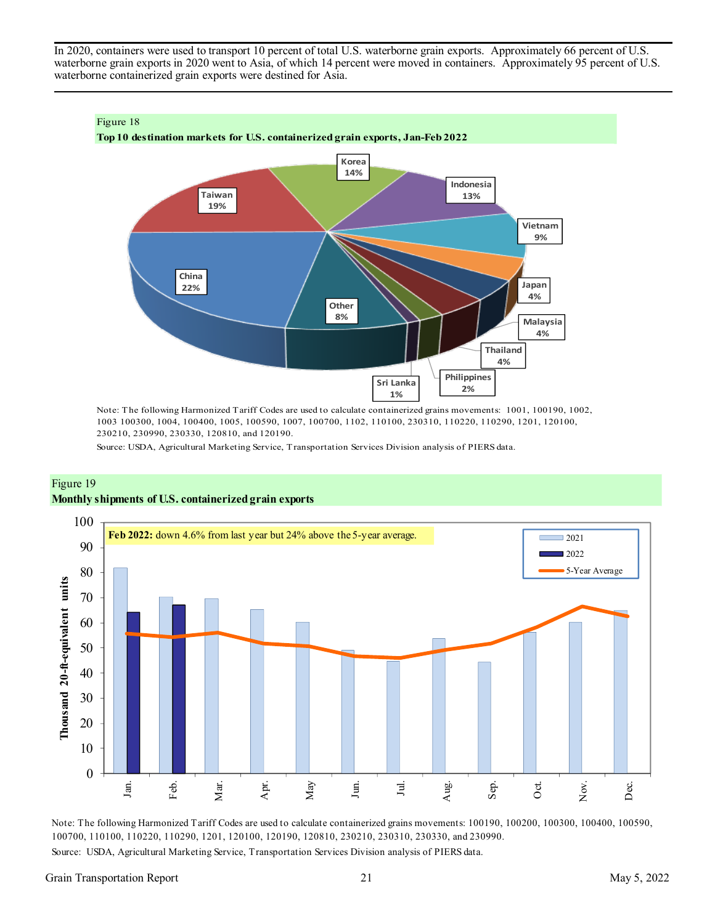In 2020, containers were used to transport 10 percent of total U.S. waterborne grain exports. Approximately 66 percent of U.S. waterborne grain exports in 2020 went to Asia, of which 14 percent were moved in containers. Approximately 95 percent of U.S. waterborne containerized grain exports were destined for Asia.



Note: The following Harmonized Tariff Codes are used to calculate containerized grains movements: 1001, 100190, 1002, 1003 100300, 1004, 100400, 1005, 100590, 1007, 100700, 1102, 110100, 230310, 110220, 110290, 1201, 120100, 230210, 230990, 230330, 120810, and 120190.

Source: USDA, Agricultural Marketing Service, Transportation Services Division analysis of PIERS data.





Note: The following Harmonized Tariff Codes are used to calculate containerized grains movements: 100190, 100200, 100300, 100400, 100590, 100700, 110100, 110220, 110290, 1201, 120100, 120190, 120810, 230210, 230310, 230330, and 230990.

Source: USDA, Agricultural Marketing Service, Transportation Services Division analysis of PIERS data.